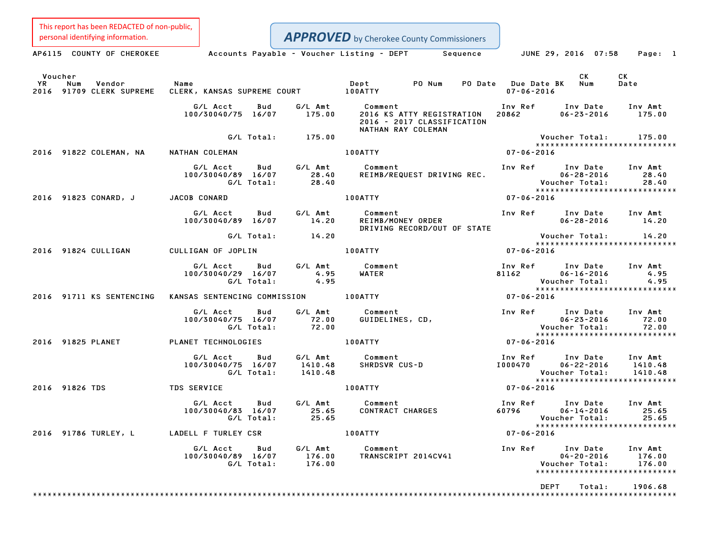This report has been REDACTED of non-public,

**APPROVED** by Cherokee County Commissioners

Personal identifying information.<br>AP6115 COUNTY OF CHEROKEE Accounts Payable - Voucher Listing - DEPT Sequence JUNE 29, 2016 07:58 Page: 1 Voucher CK CK YR Num Vendor Name Dept PO Num PO Date Due Date BK Num Date Voucher<br>1992 - YR Num Vendor – Name Mame – Dept – PO-Num PO-Date Due-Date<br>2016 91709 CLERK SUPREME CLERK, KANSAS SUPREME COURT – 100ATTY – 100ATTY – 107-06-2016 G/L Acct Bud G/L Amt Comment Inv Ref Inv Date Inv Amt 100/30040/75 16/07 175.00 <sup>2016</sup> KS ATTY REGISTRATION <sup>20862</sup> 06-23-2016 175.00 2016 KS ATTY REGISTRATION 2016 - 2017 CLASSIFICATION<br>NATHAN RAY COLEMAN G/L Total: 175.00 Voucher Total: 175.00 \*\*\*\*\*\*\*\*\*\*\*\*\*\*\*\*\*\*\*\*\*\*\*\*\*\*\*\*\* <sup>2016</sup> <sup>91822</sup> COLEMAN, NA NATHAN COLEMAN 100ATTY 07-06-2016 NATHAN COLEMAN<br>G/L Acct Bud G/L Amt Comment Inv Ref Inv Date Inv Amt 100/30040/89 16/07 28.40 REIMB/REQUEST DRIVING REC. 06-28-2016 28.40 G/L Total: 28.40 Voucher Total: 28.40 \*\*\*\*\*\*\*\*\*\*\*\*\*\*\*\*\*\*\*\*\*\*\*\*\*\*\*\*\* <sup>2016</sup> <sup>91823</sup> CONARD, <sup>J</sup> JACOB CONARD 100ATTY 07-06-2016 G/L Acct Bud G/L Amt Comment Inv Ref Inv Date Inv Amt 100/30040/89 16/07 14.20 REIMB/MONEY ORDER 06-28-2016 14.20 Comment<br>REIMB/MONEY ORDER<br>DRIVING RECORD/OUT OF STATE G/L Total: 14.20 Voucher Total: 14.20 Voucher Total: 14.20<br>\*\*\*\*\*\*\*\*\*\*\*\*\*\*\*\*\*\*\*\*\*\*\*\*\*\*\*\* <sup>2016</sup> <sup>91824</sup> CULLIGAN CULLIGAN OF JOPLIN 100ATTY 07-06-2016 G/L Acct Bud G/L Amt Comment Inv Ref Inv Date Inv Amt 4.95 [100] G/L Acct Bud G/L Amt Comment Inv Ref Inv Date Inv Amt<br>100/30040/29 16/07 4.95 WATER 81162 06–16–2016 4.95 G/L Total: 4.95 Voucher Total: 4.95 \*\*\*\*\*\*\*\*\*\*\*\*\*\*\*\*\*\*\*\*\*\*\*\*\*\*\*\*\* <sup>2016</sup> <sup>91711</sup> KS SENTENCING KANSAS SENTENCING COMMISSION 100ATTY 07-06-2016 G/L Acct Bud G/L Amt Comment Inv Ref Inv Date Inv Amt 100/30040/75 16/07 72.00 GUIDELINES, CD, 06-23-2016 72.00 G/L Total: 72.00 Voucher Total: 72.00 \*\*\*\*\*\*\*\*\*\*\*\*\*\*\*\*\*\*\*\*\*\*\*\*\*\*\*\*\* <sup>2016</sup> <sup>91825</sup> PLANET PLANET TECHNOLOGIES 100ATTY 07-06-2016 G/L Acct Bud G/L Amt Comment Inv Ref Inv Date Inv Amt 4 100/100470 100470 1007/00470 1007/2010 1007/2010 1007/2010 1008/2010 1008/2010 1008<br>100/30040/75 16/07 1410.48 SHRDSVR CUS-D 1000470 106–22–2016 1410.48 G/L Total: 1410.48 Voucher Total: 1410.48 \*\*\*\*\*\*\*\*\*\*\*\*\*\*\*\*\*\*\*\*\*\*\*\*\*\*\*\*\* <sup>2016</sup> <sup>91826</sup> TDS TDS SERVICE 100ATTY 07-06-2016 G/L Acct Bud G/L Amt Comment Inv Ref Inv Date Inv Amt 100/30040/83 16/07 25.65 CONTRACT CHARGES <sup>60796</sup> 06-14-2016 25.65 G/L Total: 25.65 Voucher Total: 25.65 \*\*\*\*\*\*\*\*\*\*\*\*\*\*\*\*\*\*\*\*\*\*\*\*\*\*\*\*\* <sup>2016</sup> <sup>91786</sup> TURLEY, <sup>L</sup> LADELL <sup>F</sup> TURLEY CSR 100ATTY 07-06-2016 G/L Acct Bud G/L Amt Comment Inv Ref Inv Date Inv Amt 100/30040/89 16/07 176.00 TRANSCRIPT 2014CV41 04-20-2016 176.00 G/L Total: 176.00 Voucher Total: 176.00 04-20-2016 176.00<br>Voucher Total: 176.00<br>\*\*\*\*\*\*\*\*\*\*\*\*\*\*\*\*\*\*\*\*\*\*\*\*\*\*\*\*\* \*\*\*\*\*\*\*\*\*\*\*\*\*\*\*\*\*\*\*\*\*\*\*\*<br>DEPT Total: 1906.68 \*\*\*\*\*\*\*\*\*\*\*\*\*\*\*\*\*\*\*\*\*\*\*\*\*\*\*\*\*\*\*\*\*\*\*\*\*\*\*\*\*\*\*\*\*\*\*\*\*\*\*\*\*\*\*\*\*\*\*\*\*\*\*\*\*\*\*\*\*\*\*\*\*\*\*\*\*\*\*\*\*\*\*\*\*\*\*\*\*\*\*\*\*\*\*\*\*\*\*\*\*\*\*\*\*\*\*\*\*\*\*\*\*\*\*\*\*\*\*\*\*\*\*\*\*\*\*\*\*\*\*\*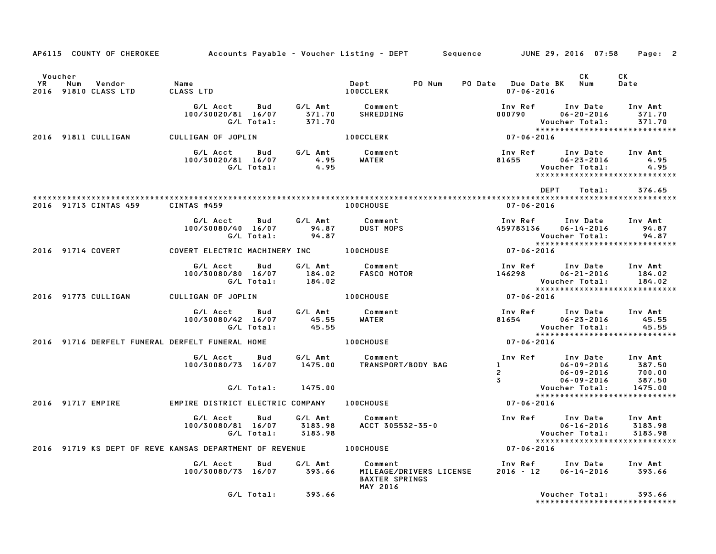|               | AP6115 COUNTY OF CHEROKEE                                         | Accounts Payable – Voucher Listing – DEPT         Sequence         JUNE 29, 2016  07:58 |                          |                                       |                                          |                                    |                             |                                                                                                                                                 | Page: 2                        |
|---------------|-------------------------------------------------------------------|-----------------------------------------------------------------------------------------|--------------------------|---------------------------------------|------------------------------------------|------------------------------------|-----------------------------|-------------------------------------------------------------------------------------------------------------------------------------------------|--------------------------------|
| Voucher<br>YR | Num<br>Vendor<br>2016 91810 CLASS LTD                             | <b>Name</b><br>CLASS LTD                                                                |                          |                                       | Dept<br><b>100CCLERK</b>                 | PO Num                             | $07 - 06 - 2016$            | CK<br>PO Date Due Date BK Num                                                                                                                   | CK<br>Date                     |
|               |                                                                   | G/L Acct<br>100/30020/81 16/07                                                          | Bud<br>G/L Total:        | G/L Amt<br>371.70<br>371.70<br>371.70 | Comment<br>SHREDDING                     |                                    | Inv Ref<br>000790           | Inv Date<br>$06 - 20 - 2016$<br>Voucher Total:<br>*****************************                                                                 | Inv Amt<br>371.70<br>371.70    |
|               | 2016 91811 CULLIGAN                                               | CULLIGAN OF JOPLIN                                                                      |                          |                                       | <b>100CCLERK</b>                         |                                    | Vouc<br>*****<br>07-06-2016 |                                                                                                                                                 |                                |
|               |                                                                   | G/L Acct<br>100/30020/81 16/07                                                          | G/L Total:               | Bud G/L Amt<br>4.95<br>4.95           | Comment<br>WATER <b>WATER</b>            |                                    | Inv Ref<br>81655 - 100      | Inv Date<br>$06 - 23 - 2016$<br>Voucher Total:<br>*****************************                                                                 | Inv Amt<br>4.95<br>4.95        |
|               | 2016 91713 CINTAS 459                                             | CINTAS #459                                                                             |                          |                                       | <b>100CHOUSE</b>                         |                                    | $07 - 06 - 2016$            | DEPT<br>Total:                                                                                                                                  | 376.65                         |
|               |                                                                   |                                                                                         | G/L Total:               | 94.87                                 | Comment<br><b>DUST MOPS</b>              |                                    | Inv Ref                     | Inv Date Inv Amt<br>Voucher Total:<br>*****************************                                                                             | 94.87<br>94.87                 |
|               | 2016 91714 COVERT                                                 | COVERT ELECTRIC MACHINERY INC <b>100CHOUSE</b>                                          |                          |                                       |                                          |                                    | Vou<br>؛∗∗∗∗<br>1105-06-07  |                                                                                                                                                 |                                |
|               |                                                                   | G/L Acct<br>100/30080/80 16/07                                                          | Bud<br>G/L Total:        | G/L Amt<br>184.02<br>184.02           |                                          | Comment<br>FASCO MOTOR             | Inv Ref<br>146298           | Inv Date<br>$06 - 21 - 2016$<br>Voucher Total:                                                                                                  | Inv Amt<br>184.02<br>184.02    |
|               | 2016 91773 CULLIGAN                                               | CULLIGAN OF JOPLIN                                                                      |                          |                                       | <b>100CHOUSE</b>                         |                                    | $*****$<br>07-06-2016       |                                                                                                                                                 |                                |
|               |                                                                   | G/L Acct<br>100/30080/42 16/07                                                          | <b>Bud</b><br>G/L Total: | G/L Amt<br>45.55<br>45.55             | Comment<br><b>WATER</b>                  |                                    | Inv Ref<br>81654            | Inv Date<br>$06 - 23 - 2016$<br>Voucher Total:<br>******************************                                                                | Inv Amt<br>45.55<br>45.55      |
|               | 2016 91716 DERFELT FUNERAL DERFELT FUNERAL HOME                   |                                                                                         |                          |                                       | <b>100CHOUSE</b>                         |                                    | $07 - 06 - 2016$            |                                                                                                                                                 |                                |
|               |                                                                   | G/L Acct<br>100/30080/73 16/07 1475.00                                                  | Bud                      | G/L Amt                               | Comment<br>TRANSPORT/BODY BAG            |                                    | $3^{\circ}$                 | Inv Ref Inv Date Inv Amt<br>$\begin{array}{ccc}\n 1 & 06 - 09 - 2016 \\  2 & 06 - 09 - 2016 \\  3 & 06 - 09 - 2016\n \end{array}$<br>06-09-2016 | $387.50$<br>$700.00$<br>387.50 |
|               |                                                                   |                                                                                         |                          | G/L Total: 1475.00                    |                                          |                                    |                             | Voucher Total:<br>******************************                                                                                                | 1475.00                        |
|               | 2016 91717 EMPIRE                                                 | EMPIRE DISTRICT ELECTRIC COMPANY                                                        |                          |                                       | <b>100CHOUSE</b>                         |                                    | $07 - 06 - 2016$            |                                                                                                                                                 |                                |
|               |                                                                   | G/L Acct<br>100/30080/81 16/07 3183.98                                                  | Bud<br>G/L Total:        | G/L Amt<br>3183.98                    | Comment                                  | Comment<br>ACCT 305532-35-0        | Vouc<br>*****<br>07-06-2016 | Inv Ref Inv Date<br>$06 - 16 - 2016$<br>Voucher Total:<br>*****************************                                                         | Inv Amt<br>3183.98<br>3183.98  |
|               | 2016 91719 KS DEPT OF REVE KANSAS DEPARTMENT OF REVENUE 100CHOUSE |                                                                                         |                          |                                       |                                          |                                    |                             |                                                                                                                                                 |                                |
|               |                                                                   | G/L Acct Bud G/L Amt<br>100/30080/73 16/07 393.66                                       |                          |                                       | <b>BAXTER SPRINGS</b><br><b>MAY 2016</b> | Comment<br>MILEAGE/DRIVERS LICENSE | 2016 - 12                   | Inv Ref Inv Date Inv Amt<br>$06 - 14 - 2016$                                                                                                    | 393.66                         |
|               |                                                                   |                                                                                         |                          | G/L Total: 393.66                     |                                          |                                    |                             | Voucher Total:<br>*****************************                                                                                                 | 393.66                         |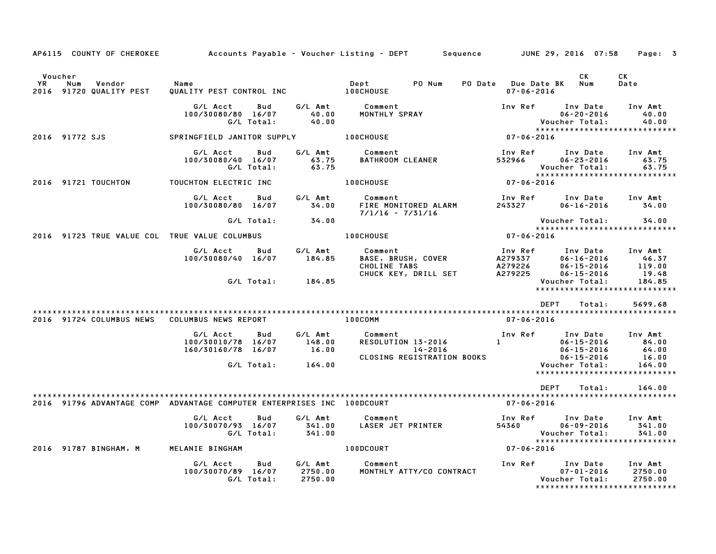|               | AP6115 COUNTY OF CHEROKEE                                              |                                             |                   |                               | Accounts Payable – Voucher Listing – DEPT         Sequence         JUNE 29, 2016  07:58 |                                                      |                                                                                              | Page: 3                       |
|---------------|------------------------------------------------------------------------|---------------------------------------------|-------------------|-------------------------------|-----------------------------------------------------------------------------------------|------------------------------------------------------|----------------------------------------------------------------------------------------------|-------------------------------|
| Voucher<br>YR | Num<br>Vendor<br>2016 91720 QUALITY PEST                               | Name<br>QUALITY PEST CONTROL INC 100CHOUSE  |                   |                               | PO Num<br>Dept                                                                          | PO Date Due Date BK Num<br>$07 - 06 - 2016$          | CK                                                                                           | CK<br>Date                    |
|               |                                                                        | G/L Acct<br>100/30080/80 16/07              | Bud<br>G/L Total: | G/L Amt<br>40.00<br>40.00     | Comment<br>MONTHLY SPRAY                                                                | Inv Ref                                              | Inv Date<br>$06 - 20 - 2016$<br>Voucher Total:                                               | Inv Amt<br>40.00<br>40.00     |
|               | 2016 91772 SJS                                                         | SPRINGFIELD JANITOR SUPPLY <b>100CHOUSE</b> |                   |                               |                                                                                         | $07 - 06 - 2016$                                     | *****************************                                                                |                               |
|               |                                                                        | G/L Acct<br>100/30080/40 16/07              | Bud<br>G/L Total: | G/L Amt<br>63.75<br>63.75     | Comment<br><b>BATHROOM CLEANER</b>                                                      | Inv Ref<br>532966                                    | Inv Date<br>$06 - 23 - 2016$<br>Voucher Total:                                               | Inv Amt<br>63.75<br>63.75     |
|               | 2016 91721 TOUCHTON                                                    | TOUCHTON ELECTRIC INC                       |                   |                               | <b>100CHOUSE</b>                                                                        | $07 - 06 - 2016$                                     |                                                                                              |                               |
|               |                                                                        | G/L Acct Bud<br>100/30080/80 16/07          |                   | G/L Amt<br>34.00              | <b>Comment</b><br>FIRE MONITORED ALARM<br>7/1/16 - 7/31/17<br>7/1/16 - 7/31/16          | 243327                                               | Inv Ref      Inv Date     Inv Amt<br>$06 - 16 - 2016$                                        | 34.00                         |
|               |                                                                        |                                             | G/L Total:        | 34.00                         |                                                                                         |                                                      | Voucher Total:                                                                               | 34.00                         |
|               | 2016 91723 TRUE VALUE COL TRUE VALUE COLUMBUS                          |                                             |                   |                               | <b>100CHOUSE</b>                                                                        | $07 - 06 - 2016$                                     |                                                                                              |                               |
|               |                                                                        | G/L Acct<br>100/30080/40 16/07              | <b>Bud</b>        | G/L Amt<br>184.85             | Comment<br>BASE, BRUSH, COVER<br>CHOLINE TABS<br>CHUCK KEY, DRILL SET                   | — Inv кет<br>A279337<br>A279226<br>Солорь<br>A279225 | Inv Date Inv Amt<br>$06 - 16 - 2016$<br>$06 - 15 - 2016$<br>$06 - 15 - 2016$                 | 46.37<br>119.00<br>19.48      |
|               |                                                                        |                                             | G/L Total:        | 184.85                        |                                                                                         |                                                      | Voucher Total:<br>*****************************                                              | 184.85                        |
|               |                                                                        |                                             |                   |                               |                                                                                         |                                                      | <b>DEPT</b><br>Total:                                                                        | 5699.68                       |
|               | 2016 91724 COLUMBUS NEWS                                               | COLUMBUS NEWS REPORT                        |                   |                               | 100COMM                                                                                 | 07-06-2016                                           |                                                                                              |                               |
|               |                                                                        | G/L Acct                                    | Bud               | G/L Amt                       | Comment                                                                                 |                                                      | Inv Ref      Inv Date                                                                        | Inv Amt                       |
|               |                                                                        | 100/30010/78 16/07<br>160/30160/78 16/07    |                   | 148.00<br>16.00               | RESOLUTION 13-2016<br>14-2016                                                           | $\mathbf{1}$ and $\mathbf{1}$ and $\mathbf{1}$       | $06 - 15 - 2016$<br>$06 - 15 - 2016$                                                         | 84.00<br>64.00                |
|               |                                                                        |                                             | G/L Total:        | 164.00                        | CLOSING REGISTRATION BOOKS                                                              |                                                      | $06 - 15 - 2016$<br>Voucher Total:<br>*****************************                          | 16.00<br>164.00               |
|               |                                                                        |                                             |                   |                               |                                                                                         |                                                      | <b>DEPT</b><br>Total:                                                                        | 164.00                        |
|               | 2016 91796 ADVANTAGE COMP ADVANTAGE COMPUTER ENTERPRISES INC 100DCOURT |                                             |                   |                               |                                                                                         | 07-06-2016                                           |                                                                                              |                               |
|               |                                                                        | G/L Acct<br>100/30070/93 16/07              | Bud<br>G/L Total: | G/L Amt<br>341.00<br>341.00   | Comment<br>LASER JET PRINTER                                                            | 54360                                                | Inv Ref Inv Date<br>$06 - 09 - 2016$<br>Voucher Total:                                       | Inv Amt<br>341.00<br>341.00   |
|               | 2016 91787 BINGHAM, M                                                  | MELANIE BINGHAM                             |                   |                               | 100DCOURT                                                                               | 07-06-2016                                           |                                                                                              |                               |
|               |                                                                        | G/L Acct<br>100/30070/89 16/07              | Bud<br>G/L Total: | G/L Amt<br>2750.00<br>2750.00 | Comment<br>MONTHLY ATTY/CO CONTRACT                                                     |                                                      | Inv Ref      Inv Date<br>$07 - 01 - 2016$<br>Voucher Total:<br>***************************** | Inv Amt<br>2750.00<br>2750.00 |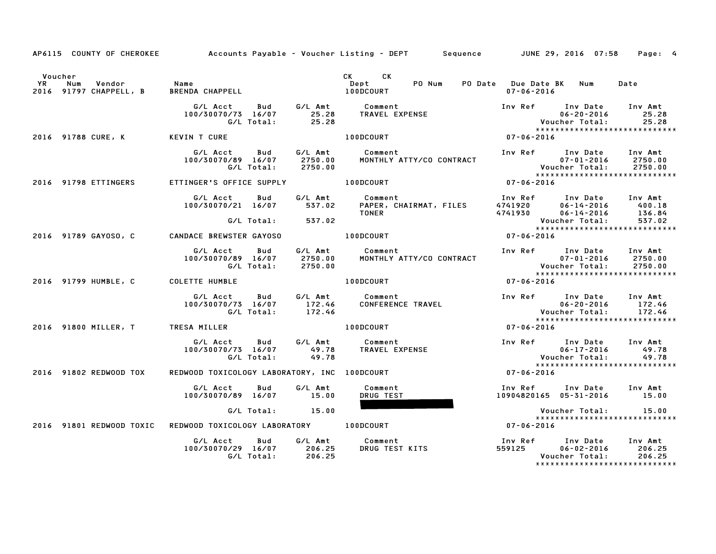|         |                        |                                                                                                                                                                                                                                    | AP6115 COUNTY OF CHEROKEE Accounts Payable - Voucher Listing - DEPT Sequence JUNE 29, 2016 07:58 | Page: 4                                                                                                                                                                                                                                 |  |
|---------|------------------------|------------------------------------------------------------------------------------------------------------------------------------------------------------------------------------------------------------------------------------|--------------------------------------------------------------------------------------------------|-----------------------------------------------------------------------------------------------------------------------------------------------------------------------------------------------------------------------------------------|--|
| Voucher |                        | The Mum (1999)<br>The Mum (1999) Mame (1999) Mame (1999) Mame (1999) Mame (1999) Mame (1999) Mame (1999) Mame (1999)<br>The Mum (1999) Mame (1999) Mame (1999) Mame (1999) Mame (1999) Mame (1999) Mame (1999) Mame (1999) Mame (1 | CK CK                                                                                            | PO Date Due Date BK Num<br>Date<br>07-06-2016                                                                                                                                                                                           |  |
|         |                        |                                                                                                                                                                                                                                    |                                                                                                  | *****************************                                                                                                                                                                                                           |  |
|         |                        | 2016 91788 CURE, K KEVIN T CURE                                                                                                                                                                                                    | 100DCOURT                                                                                        | $07 - 06 - 2016$                                                                                                                                                                                                                        |  |
|         |                        |                                                                                                                                                                                                                                    |                                                                                                  | 6/L Acct Bud 6/L Amt Comment Inv Ref Inv Date Inv Amt<br>100/30070/89 16/07 2750.00 MONTHLY ATTY/CO CONTRACT 07-01-2016 2750.00<br>6/L Total: 2750.00 MONTHLY ATTY/CO CONTRACT 07-01-2016 2750.00<br>ETTINGER'S OFFICE SUPPLY 100DCOURT |  |
|         | 2016 91798 ETTINGERS   |                                                                                                                                                                                                                                    |                                                                                                  |                                                                                                                                                                                                                                         |  |
|         |                        |                                                                                                                                                                                                                                    |                                                                                                  | 6/L Acct Bud G/L Amt Comment Inv Ref Inv Date Inv Amt<br>100/30070/21 16/07 537.02 PAPER, CHAIRMAT, FILES 4741920 06-14-2016 400.18<br>6/L Total: 537.02 TONER 4741930 06-14-2016 136.84<br>NDACE BREWSTER GAYOSO 100DCOURT 07-06-2016  |  |
|         |                        |                                                                                                                                                                                                                                    |                                                                                                  | *****************************                                                                                                                                                                                                           |  |
|         |                        | 2016 91789 GAYOSO, C CANDACE BREWSTER GAYOSO 100DCOURT                                                                                                                                                                             |                                                                                                  |                                                                                                                                                                                                                                         |  |
|         |                        | G/L Acct Bud G/L Amt Comment<br>100/30070/89 16/07 2750.00 MONTHLY AT<br>G/L Total: 2750.00                                                                                                                                        | MONTHLY ATTY/CO CONTRACT                                                                         |                                                                                                                                                                                                                                         |  |
|         |                        | 2016 91799 HUMBLE, C COLETTE HUMBLE <b>And American COLETT</b> COLETTE HUMBLE                                                                                                                                                      |                                                                                                  | $07 - 06 - 2016$                                                                                                                                                                                                                        |  |
|         |                        | G/L Acct<br>100/30070/73 16/07<br>172.46 CONFERENCE TRAVEL 6/L Total: 172.46                                                                                                                                                       | Bud G/L Amt Comment                                                                              | Inv Ref Inv Date Inv Amt<br>1100 Date Inv Amt بند .<br>- 06-20-2016 172.46<br>- Voucher Total: 172.46 Voucher<br>******************************                                                                                         |  |
|         |                        | 2016 91800 MILLER, T TRESA MILLER 100DCOURT                                                                                                                                                                                        |                                                                                                  | $07 - 06 - 2016$                                                                                                                                                                                                                        |  |
|         |                        | G/L Acct Bud G/L Amt Comment                                                                                                                                                                                                       | 100/30070/73 16/07 49.78 TRAVEL EXPENSE<br>G/L Total: 49.78 TRAVEL EXPENSE                       | Inv Ref Inv Date Inv Amt<br>111 Date Inv Amt<br>06-17-2016 49.78<br>Voucher Total: 49.78<br>*****************************                                                                                                               |  |
|         | 2016 91802 REDWOOD TOX | REDWOOD TOXICOLOGY LABORATORY, INC 100DCOURT                                                                                                                                                                                       |                                                                                                  | $07 - 06 - 2016$                                                                                                                                                                                                                        |  |
|         |                        | G/L Acct Bud G/L Amt<br>100/30070/89 16/07 15.00                                                                                                                                                                                   | Comment<br>DRUG TEST                                                                             | Inv Ref Inv Date Inv Amt<br>10904820165 05-31-2016 15.00                                                                                                                                                                                |  |
|         |                        | G/L Total: 15.00                                                                                                                                                                                                                   |                                                                                                  | Voucher Total: 15.00<br>******************************                                                                                                                                                                                  |  |
|         |                        | 2016 91801 REDWOOD TOXIC REDWOOD TOXICOLOGY LABORATORY 100DCOURT                                                                                                                                                                   |                                                                                                  | Vouc<br>*****<br>07-06-2016                                                                                                                                                                                                             |  |
|         |                        | G/L Acct  Bud  G/L Amt  Comment<br>100/30070/29  16/07  206.25  DRUG  TEST<br>G/L Total:  206.25                                                                                                                                   |                                                                                                  | *****************************                                                                                                                                                                                                           |  |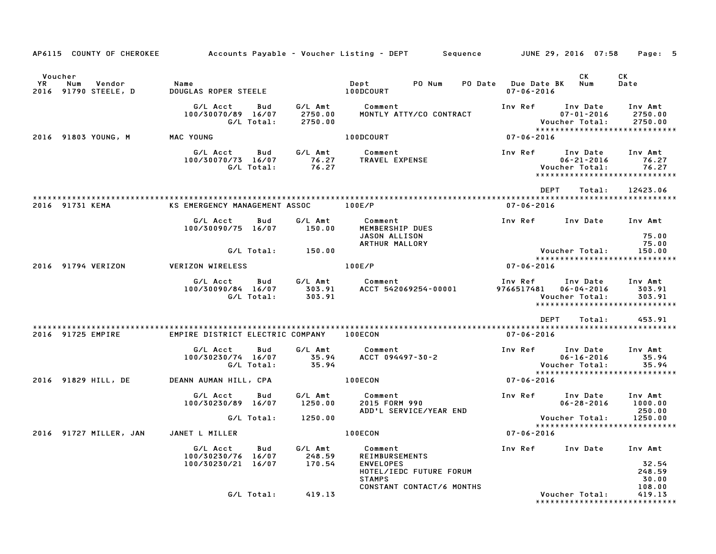| AP6115 COUNTY OF CHEROKEE                                  |                                                             |                               | Accounts Payable – Voucher Listing – DEPT         Sequence         JUNE 29, 2016  07:58          |                                         |                                                | Page: 5                                                        |
|------------------------------------------------------------|-------------------------------------------------------------|-------------------------------|--------------------------------------------------------------------------------------------------|-----------------------------------------|------------------------------------------------|----------------------------------------------------------------|
| Voucher<br>YR.<br>Num<br>Vendor<br>91790 STEELE, D<br>2016 | Name<br>DOUGLAS ROPER STEELE                                |                               | PO Num<br>Dept<br>100DCOURT                                                                      | PO Date Due Date BK<br>$07 - 06 - 2016$ | СK<br>Num                                      | СK<br>Date                                                     |
|                                                            | G/L Acct<br>Bud<br>100/30070/89 16/07<br>G/L Total:         | G/L Amt<br>2750.00<br>2750.00 | Comment<br>MONTLY ATTY/CO CONTRACT                                                               | Inv Ref                                 | Inv Date<br>$07 - 01 - 2016$<br>Voucher Total: | Inv Amt<br>2750.00<br>2750.00<br>***************************** |
| 2016 91803 YOUNG, M                                        | MAC YOUNG                                                   |                               | 100DCOURT                                                                                        | $07 - 06 - 2016$                        |                                                |                                                                |
|                                                            | G/L Acct<br>Bud<br>100/30070/73 16/07<br>G/L Total:         | G/L Amt<br>76.27<br>76.27     | Comment<br>TRAVEL EXPENSE                                                                        | Inv Ref                                 | Inv Date<br>$06 - 21 - 2016$<br>Voucher Total: | Inv Amt<br>76.27<br>76.27<br>******************************    |
|                                                            |                                                             |                               |                                                                                                  | DEPT                                    | Total:                                         | 12423.06                                                       |
| 2016 91731 KEMA                                            | KS EMERGENCY MANAGEMENT ASSOC                               |                               | 100E/P                                                                                           | $07 - 06 - 2016$                        |                                                |                                                                |
|                                                            | G/L Acct<br>Bud<br>100/30090/75 16/07                       | G/L Amt<br>150.00             | Comment<br>MEMBERSHIP DUES                                                                       | Inv Ref                                 | Inv Date                                       | Inv Amt                                                        |
|                                                            |                                                             |                               | JASON ALLISON<br>ARTHUR MALLORY                                                                  |                                         |                                                | 75.00<br>75.00                                                 |
|                                                            | G/L Total:                                                  | 150.00                        |                                                                                                  |                                         | Voucher Total:                                 | 150.00                                                         |
| 2016 91794 VERIZON                                         | <b>VERIZON WIRELESS</b>                                     |                               | 100E/P                                                                                           | $07 - 06 - 2016$                        |                                                | *****************************                                  |
|                                                            | G/L Acct<br>Bud<br>100/30090/84 16/07<br>G/L Total:         | G/L Amt<br>303.91<br>303.91   | Comment<br>ACCT 542069254-00001                                                                  | Inv Ref<br>9766517481                   | Inv Date<br>$06 - 04 - 2016$<br>Voucher Total: | Inv Amt<br>303.91<br>303.91<br>*****************************   |
|                                                            |                                                             |                               |                                                                                                  | <b>DEPT</b>                             | Total:                                         | 453.91                                                         |
| 2016 91725 EMPIRE                                          | EMPIRE DISTRICT ELECTRIC COMPANY                            |                               | <b>100ECON</b>                                                                                   | $07 - 06 - 2016$                        |                                                |                                                                |
|                                                            | G/L Acct<br>Bud<br>100/30230/74 16/07<br>G/L Total:         | G/L Amt<br>35.94<br>35.94     | Comment<br>ACCT 094497-30-2                                                                      | Inv Ref                                 | Inv Date<br>$06 - 16 - 2016$<br>Voucher Total: | Inv Amt<br>35.94<br>35.94<br>*****************************     |
| 2016 91829 HILL, DE                                        | DEANN AUMAN HILL, CPA                                       |                               | 100ECON                                                                                          | 07-06-2016                              |                                                |                                                                |
|                                                            | G/L Acct<br>Bud<br>100/30230/89 16/07                       | G/L Amt<br>1250.00            | Comment<br>2015 FORM 990<br>ADD'L SERVICE/YEAR END                                               | Inv Ref                                 | Inv Date<br>$06 - 28 - 2016$                   | Inv Amt<br>1000.00<br>250.00                                   |
|                                                            | G/L Total:                                                  | 1250.00                       |                                                                                                  |                                         | Voucher Total:                                 | 1250.00                                                        |
| 2016 91727 MILLER, JAN                                     | JANET L MILLER                                              |                               | 100ECON                                                                                          | $07 - 06 - 2016$                        |                                                | ******************************                                 |
|                                                            | G/L Acct<br>Bud<br>100/30230/76 16/07<br>100/30230/21 16/07 | G/L Amt<br>248.59<br>170.54   | Comment<br><b>REIMBURSEMENTS</b><br><b>ENVELOPES</b><br>HOTEL/IEDC FUTURE FORUM<br><b>STAMPS</b> | Inv Ref                                 | Inv Date                                       | Inv Amt<br>32.54<br>248.59<br>30.00                            |
|                                                            | G/L Total:                                                  | 419.13                        | CONSTANT CONTACT/6 MONTHS                                                                        |                                         | Voucher Total:                                 | 108.00<br>419.13<br>*******************************            |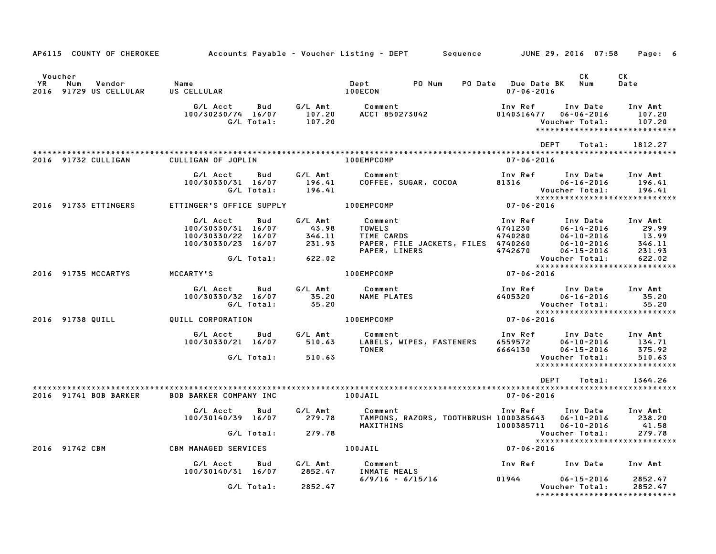|                      |                                         |                                                                            |                   |                                            | AP6115 COUNTY OF CHEROKEE         Accounts Payable – Voucher Listing – DEPT      Sequence        JUNE 29, 2016 07:58                                                                                                |                                                                                                                             |                                          | Page: 6                                                      |
|----------------------|-----------------------------------------|----------------------------------------------------------------------------|-------------------|--------------------------------------------|---------------------------------------------------------------------------------------------------------------------------------------------------------------------------------------------------------------------|-----------------------------------------------------------------------------------------------------------------------------|------------------------------------------|--------------------------------------------------------------|
|                      |                                         |                                                                            |                   |                                            |                                                                                                                                                                                                                     |                                                                                                                             |                                          |                                                              |
| Voucher<br><b>YR</b> | Num<br>Vendor<br>2016 91729 US CELLULAR | Name<br>US CELLULAR                                                        |                   |                                            | Dept PONum<br>100ECON                                                                                                                                                                                               | PO Date Due Date BK Num<br>$07 - 06 - 2016$                                                                                 | CK                                       | CK<br>Date                                                   |
|                      |                                         |                                                                            |                   |                                            |                                                                                                                                                                                                                     | Inv Ref<br>0140316477                                                                                                       | Inv Date<br>06-06-2016<br>Voucher Total: | Inv Amt<br>107.20<br>107.20<br>***************************** |
|                      | 2016 91732 CULLIGAN                     | CULLIGAN OF JOPLIN <b>EXECUTE:</b> 100EMPCOMP                              |                   |                                            |                                                                                                                                                                                                                     | DEPT<br>07-06-2016                                                                                                          | Total:                                   | 1812.27                                                      |
|                      |                                         | G/L Acct<br>100/30330/31 16/07 196.41<br>G/L Total: 196.41                 |                   | Bud G/LAmt                                 | Comment                                                                                                                                                                                                             | Inv Ref      Inv Date     Inv Amt<br>Voucher Total:                                                                         |                                          | 196.41<br>196.41                                             |
|                      | 2016 91733 ETTINGERS                    | ETTINGER'S OFFICE SUPPLY 100EMPCOMP                                        |                   |                                            |                                                                                                                                                                                                                     | $07 - 06 - 2016$                                                                                                            |                                          | *****************************                                |
|                      |                                         | G/L Acct<br>100/30330/31 16/07<br>100/30330/22 16/07<br>100/30330/23 16/07 | Bud<br>G/L Total: | $-43.98$<br>$346.11$<br>$231.93$<br>622.02 | G/L Amt Comment<br>TOWELS<br>TIME CARDS<br>TIME CARDS<br>PAPER, FILE JACKETS, FILES 4740280 06-10-2016 13.99<br>PAPER, LINERS 4740260 06-10-2016 346.11<br>PAPER, LINERS 4742670 06-15-2016 231.93<br>PAPER, LINERS | Inv Ref                                                                                                                     | Inv Date Inv Amt<br>Voucher Total:       | $346.11$<br>$231.07$<br>622.02                               |
|                      | 2016 91735 MCCARTYS                     | <b>MCCARTY'S</b>                                                           |                   |                                            | 100EMPCOMP                                                                                                                                                                                                          | $07 - 06 - 2016$                                                                                                            |                                          | *****************************                                |
|                      |                                         | G/L Acct Bud<br>100/30330/32 16/07<br>G/L Total:                           |                   | G/L Amt<br>35.20<br>35.20                  | Comment<br>NAME PLATES                                                                                                                                                                                              | Inv Ref<br>6405320                                                                                                          | Inv Date<br>06-16-2016<br>Voucher Total: | Inv Amt<br>35.20<br>35.20                                    |
|                      | 2016 91738 QUILL                        | QUILL CORPORATION                                                          |                   |                                            | 100EMPCOMP                                                                                                                                                                                                          | $07 - 06 - 2016$                                                                                                            |                                          |                                                              |
|                      |                                         | G/L Acct Bud<br>100/30330/21 16/07 510.63<br>G/L Total:                    |                   | G/L Amt<br>510.63                          | Comment<br>LABELS, WIPES, FASTENERS<br><b>TONER</b>                                                                                                                                                                 | 1nv Ref        Inv Date     Inv Amt<br>6559572         06–10–2016        134.71<br>6664130         06–15–2016        375.92 | Voucher Total:                           | 134.71<br>375.92<br>510.63<br>*****************************  |
|                      |                                         |                                                                            |                   |                                            |                                                                                                                                                                                                                     | DEPT                                                                                                                        |                                          | Total: 1364.26                                               |
|                      | 2016 91741 BOB BARKER                   | <b>BOB BARKER COMPANY INC</b>                                              |                   | 100JAIL                                    |                                                                                                                                                                                                                     | $07 - 06 - 2016$                                                                                                            |                                          |                                                              |
|                      |                                         | G/L Acct Bud                                                               |                   | G/L Amt<br>$G/L$ Total: 279.78             | Comment<br>100/30140/39 16/07 279.78 TAMPONS, RAZORS, TOOTHBRUSH 1000385643 06-10-2016 238.20<br>MAXITHINS 1000385711 06-10-2016                                                                                    | Inv Ref Inv Date Inv Amt                                                                                                    | Voucher Total:                           | 41.58<br>279.78                                              |
|                      | 2016 91742 CBM                          | <b>CBM MANAGED SERVICES</b>                                                |                   |                                            | $07 - 06 - 2016$<br>100JAIL                                                                                                                                                                                         |                                                                                                                             |                                          | *****************************                                |
|                      |                                         | G/L Acct<br>100/30140/31 16/07 2852.47                                     | Bud               | G⁄L Amt                                    | Comment<br>INMATE MEALS                                                                                                                                                                                             | Inv Ref      Inv Date     Inv Amt                                                                                           |                                          |                                                              |
|                      |                                         | G/L Total:                                                                 |                   | 2852.47                                    | $6/9/16 - 6/15/16$                                                                                                                                                                                                  | 01944                                                                                                                       | $06 - 15 - 2016$<br>Voucher Total:       | 2852.47<br>2852.47<br>******************************         |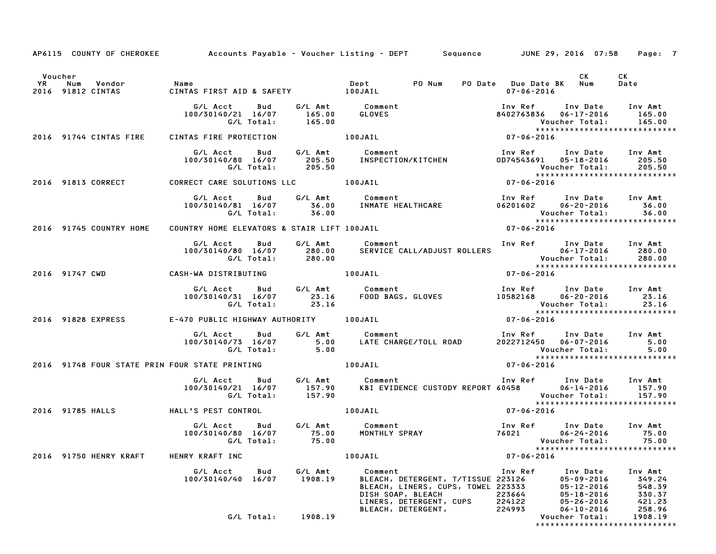|         |                                                                                     |                                       |                    | AP6115 COUNTY OF CHEROKEE Accounts Payable - Voucher Listing - DEPT Sequence JUNE 29, 2016 07:58 Page: 7                                                                                     |                                       |                                                                                                                                             |
|---------|-------------------------------------------------------------------------------------|---------------------------------------|--------------------|----------------------------------------------------------------------------------------------------------------------------------------------------------------------------------------------|---------------------------------------|---------------------------------------------------------------------------------------------------------------------------------------------|
| Voucher |                                                                                     |                                       |                    |                                                                                                                                                                                              |                                       | CK<br>CK                                                                                                                                    |
|         |                                                                                     |                                       |                    |                                                                                                                                                                                              | PO Date Due Date BK Num<br>07-06-2016 | Date                                                                                                                                        |
|         |                                                                                     |                                       |                    |                                                                                                                                                                                              |                                       | Inv Ref      Inv Date    Inv Amt<br>8402763836    06–17–2016        165.00<br>Voucher Total: 165.00                                         |
|         | 2016 91744 CINTAS FIRE                                                              | CINTAS FIRE PROTECTION                |                    |                                                                                                                                                                                              |                                       |                                                                                                                                             |
|         |                                                                                     | G/L Total: 205.50                     |                    | G/L Acct Bud G/L Amt Comment 100/30140/80 Inv Amt<br>100/30140/80 16/07 205.50 INSPECTION/KITCHEN 0D74543691 05-18-2016 205.50                                                               |                                       | 0D74543691  05-18-2016  205.50<br>Voucher Total: 205.50<br>******************************<br>07-06-2016                                     |
|         | 2016 91813 CORRECT CORRECT CARE SOLUTIONS LLC 100JAIL                               |                                       |                    |                                                                                                                                                                                              |                                       |                                                                                                                                             |
|         |                                                                                     |                                       |                    |                                                                                                                                                                                              |                                       | Voucher Total: 36.00<br>****************************                                                                                        |
|         | 2016 91745 COUNTRY HOME                                                             |                                       |                    | COUNTRY HOME ELEVATORS & STAIR LIFT 100JAIL <b>100 COUNTRY HOME ELEVATORS &amp; STAIR</b> LIFT 100JAIL                                                                                       |                                       |                                                                                                                                             |
|         |                                                                                     |                                       |                    | 6/L Acct Bud G/L Amt Comment Inv Ref Inv Date Inv Amt<br>100/30140/80 16/07 280.00 SERVICE CALL/ADJUST ROLLERS 06-17-2016 280.00<br>6/L Total: 280.00 100JAIL 100JAIL 107-06-2016 27-06-2016 |                                       |                                                                                                                                             |
|         | 2016 91747 CWD CASH-WA DISTRIBUTING 100JAIL                                         |                                       |                    |                                                                                                                                                                                              |                                       |                                                                                                                                             |
|         |                                                                                     |                                       |                    | G/L Acct Bud G/L Amt Comment Inv Ref Inv Date Inv Amt<br>100/30140/31 16/07 23.16 F00D BAGS, GLOVES 10582168 06–20–2016 23.16<br>G/L Total: 23.16 23.16 Voucher Total: 23.16                 |                                       | Voucher Total: 23.16<br>****************************                                                                                        |
|         |                                                                                     |                                       |                    | 2016 91828 EXPRESS E-470 PUBLIC HIGHWAY AUTHORITY 100JAIL                                                                                                                                    | $07 - 06 - 2016$                      |                                                                                                                                             |
|         |                                                                                     |                                       | G/L Total: 5.00    | G/L Acct Bud G/L Amt Comment Inv Ref Inv Date Inv Amt<br>100/30140/73 16/07 5.00 LATE CHARGE/TOLL ROAD 2022712450 06-07-2016 5.00                                                            |                                       | 00.Woucher Total: 5<br>*****************************                                                                                        |
|         | 2016 91748 FOUR STATE PRIN FOUR STATE PRINTING THE RESIDENCE RELATION AND AND AND A |                                       |                    |                                                                                                                                                                                              | $07 - 06 - 2016$                      |                                                                                                                                             |
|         |                                                                                     | G/L Total: 157.90                     |                    | G/L Acct Bud G/L Amt Comment Inv Ref Inv Date Inv Amt<br>100/30140/21 16/07 157.90 KBI EVIDENCE CUSTODY REPORT 60458 06-14-2016 157.90                                                       |                                       | Voucher Total: 157.90<br>****************************                                                                                       |
|         | 2016 91785 HALLS HALL'S PEST CONTROL                                                |                                       | 100JAIL            |                                                                                                                                                                                              | $07 - 06 - 2016$                      |                                                                                                                                             |
|         |                                                                                     | G/L Total: 75.00                      |                    | G/L Acct Bud G/L Amt Comment<br>100/30140/80 16/07 75.00 MONTHLY SPRAY                                                                                                                       | 76021                                 | Inv Ref Inv Date Inv Amt<br>$06 - 24 - 2016$ 75.00<br>Voucher Total: 75.00<br>*****************************                                 |
|         | 2016 91750 HENRY KRAFT                                                              | HENRY KRAFT INC                       |                    | 100JAIL                                                                                                                                                                                      | $07 - 06 - 2016$                      |                                                                                                                                             |
|         |                                                                                     | G/L Acct<br>Bud<br>100/30140/40 16/07 | G/L Amt<br>1908.19 | Comment<br>BLEACH, DETERGENT, T/TISSUE 223126<br>BLEACH, LINERS, CUPS, TOWEL 223333<br>DISH SOAP, BLEACH<br>LINERS, DETERGENT, CUPS                                                          | Inv Ref<br>223664<br>224122           | Inv Date<br>Inv Amt<br>$05 - 09 - 2016$<br>349.24<br>548.39<br>$05 - 12 - 2016$<br>330.37<br>$05 - 18 - 2016$<br>421.23<br>$05 - 26 - 2016$ |
|         |                                                                                     | G/L Total:                            | 1908.19            | BLEACH, DETERGENT,                                                                                                                                                                           | 224993                                | 258.96<br>$06 - 10 - 2016$<br>Voucher Total:<br>1908.19<br>*****************************                                                    |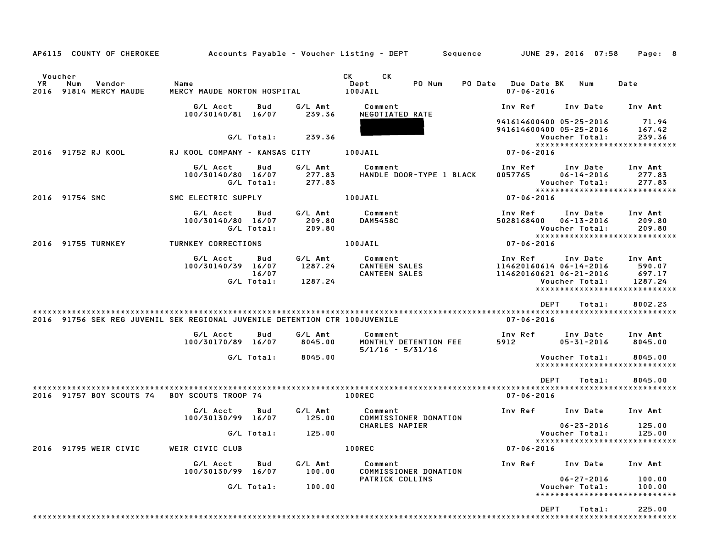| AP6115 COUNTY OF CHEROKEE                                                  |                                     |                            |                               | Accounts Payable – Voucher Listing – DEPT         Sequence |                                                               | JUNE 29, 2016 07:58                            | Page: 8                                                                 |
|----------------------------------------------------------------------------|-------------------------------------|----------------------------|-------------------------------|------------------------------------------------------------|---------------------------------------------------------------|------------------------------------------------|-------------------------------------------------------------------------|
| Voucher<br>YR.<br>Num<br>Vendor<br>2016 91814 MERCY MAUDE                  | Name<br>MERCY MAUDE NORTON HOSPITAL |                            |                               | CK.<br>CK L<br>Dept<br>PO Num<br>100JAIL                   | <b>PO Date</b> Due Date BK<br>$07 - 06 - 2016$                | Num                                            | Date                                                                    |
|                                                                            | G/L Acct<br>100/30140/81 16/07      | Bud                        | G/L Amt<br>239.36             | Comment<br>NEGOTIATED RATE                                 | Inv Ref                                                       | Inv Date                                       | Inv Amt                                                                 |
|                                                                            |                                     | G/L Total:                 | 239.36                        |                                                            | 941614600400 05-25-2016<br>941614600400 05-25-2016            | Voucher Total:                                 | 71.94<br>167.42<br>239.36                                               |
| 2016 91752 RJ KOOL                                                         | RJ KOOL COMPANY - KANSAS CITY       |                            |                               | 100JAIL                                                    | $07 - 06 - 2016$                                              |                                                | *****************************                                           |
|                                                                            | G/L Acct<br>100/30140/80 16/07      | Bud<br>G/L Total:          | G/L Amt<br>277.83<br>277.83   | Comment<br>HANDLE DOOR-TYPE 1 BLACK                        | Inv Ref<br>0057765                                            | Inv Date<br>$06 - 14 - 2016$<br>Voucher Total: | Inv Amt<br>277.83<br>277.83                                             |
| 2016 91754 SMC                                                             | SMC ELECTRIC SUPPLY                 |                            |                               | 100JAIL                                                    | $07 - 06 - 2016$                                              |                                                | *****************************                                           |
|                                                                            | G/L Acct<br>100/30140/80 16/07      | Bud<br>G/L Total:          | G/L Amt<br>209.80<br>209.80   | Comment<br><b>DAM5458C</b>                                 | Inv Ref<br>5028168400                                         | Inv Date<br>$06 - 13 - 2016$<br>Voucher Total: | Inv Amt<br>209.80<br>209.80                                             |
| 2016 91755 TURNKEY                                                         | TURNKEY CORRECTIONS                 |                            |                               | 100JAIL                                                    | $07 - 06 - 2016$                                              |                                                | *****************************                                           |
|                                                                            | G/L Acct<br>100/30140/39 16/07      | Bud<br>16/07<br>G/L Total: | G/L Amt<br>1287.24<br>1287.24 | Comment<br>CANTEEN SALES<br><b>CANTEEN SALES</b>           | Inv Ref<br>114620160614 06-14-2016<br>114620160621 06-21-2016 | Inv Date<br>Voucher Total:                     | Inv Amt<br>590.07<br>697.17<br>1287.24<br>***************************** |
|                                                                            |                                     |                            |                               |                                                            | <b>DEPT</b>                                                   | Total:                                         | 8002.23                                                                 |
| 2016 91756 SEK REG JUVENIL SEK REGIONAL JUVENILE DETENTION CTR 100JUVENILE |                                     |                            |                               |                                                            | $07 - 06 - 2016$                                              |                                                |                                                                         |
|                                                                            | G/L Acct<br>100/30170/89 16/07      | Bud                        | G/L Amt<br>8045.00            | Comment<br>MONTHLY DETENTION FEE<br>$5/1/16 - 5/31/16$     | Inv Ref<br>5912                                               | Inv Date<br>$05 - 31 - 2016$                   | Inv Amt<br>8045.00                                                      |
|                                                                            |                                     | G/L Total:                 | 8045.00                       |                                                            |                                                               | Voucher Total:                                 | 8045.00<br>*****************************                                |
|                                                                            |                                     |                            |                               |                                                            | <b>DEPT</b>                                                   | Total:                                         | 8045.00                                                                 |
| 2016 91757 BOY SCOUTS 74                                                   | <b>BOY SCOUTS TROOP 74</b>          |                            |                               | <b>100REC</b>                                              | $07 - 06 - 2016$                                              |                                                |                                                                         |
|                                                                            | G/L Acct<br>100/30130/99 16/07      | Bud                        | G/L Amt<br>125.00             | Comment<br>COMMISSIONER DONATION<br><b>CHARLES NAPIER</b>  | Inv Ref                                                       | Inv Date<br>$06 - 23 - 2016$                   | Inv Amt                                                                 |
|                                                                            |                                     | G/L Total:                 | 125.00                        |                                                            |                                                               | Voucher Total:                                 | 125.00<br>125.00<br>******************************                      |
| 2016 91795 WEIR CIVIC                                                      | WEIR CIVIC CLUB                     |                            |                               | 100REC                                                     | $07 - 06 - 2016$                                              |                                                |                                                                         |
|                                                                            | G/L Acct<br>100/30130/99 16/07      | Bud                        | G/L Amt<br>100.00             | Comment<br>COMMISSIONER DONATION                           | Inv Ref                                                       | Inv Date                                       | Inv Amt                                                                 |
|                                                                            |                                     | G/L Total:                 | 100.00                        | <b>PATRICK COLLINS</b>                                     |                                                               | $06 - 27 - 2016$<br>Voucher Total:             | 100.00<br>100.00<br>*****************************                       |
|                                                                            |                                     |                            |                               |                                                            | DEPT                                                          | Total:                                         | 225.00                                                                  |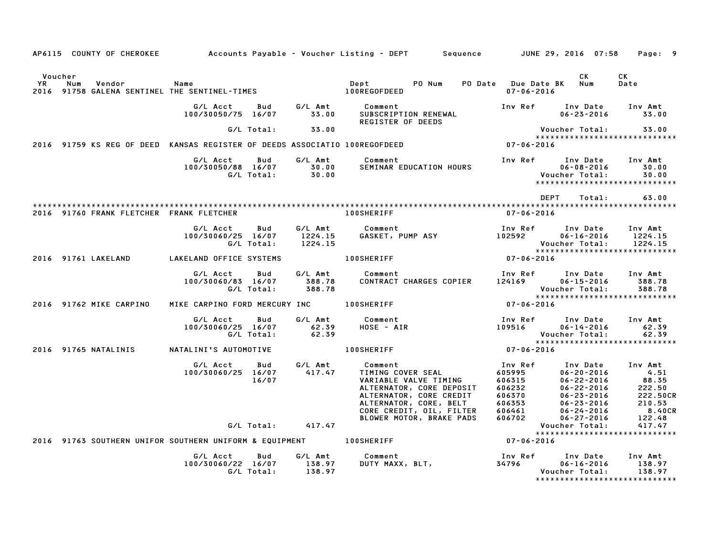|                      | AP6115 COUNTY OF CHEROKEE                                                  |                                |                   |                               | Accounts Payable – Voucher Listing – DEPT<br>Sequence                                                                                                              |                                                                     | JUNE 29, 2016 07:58                                                                                                              | Page: 9                                                            |
|----------------------|----------------------------------------------------------------------------|--------------------------------|-------------------|-------------------------------|--------------------------------------------------------------------------------------------------------------------------------------------------------------------|---------------------------------------------------------------------|----------------------------------------------------------------------------------------------------------------------------------|--------------------------------------------------------------------|
| Voucher<br><b>YR</b> | Num<br>Vendor<br>2016 91758 GALENA SENTINEL THE SENTINEL-TIMES             | Name                           |                   |                               | Dept<br>PO Num<br>PO Date<br>100REGOFDEED                                                                                                                          | $07 - 06 - 2016$                                                    | СK<br><b>Due Date BK</b><br>Num                                                                                                  | СK<br>Date                                                         |
|                      |                                                                            | G/L Acct<br>100/30050/75 16/07 | Bud               | G/L Amt<br>33.00              | Comment<br>SUBSCRIPTION RENEWAL                                                                                                                                    | Inv Ref                                                             | Inv Date<br>$06 - 23 - 2016$                                                                                                     | Inv Amt<br>33.00                                                   |
|                      |                                                                            |                                | G/L Total:        | 33.00                         | <b>REGISTER OF DEEDS</b>                                                                                                                                           |                                                                     | Voucher Total:                                                                                                                   | 33.00                                                              |
|                      | 2016 91759 KS REG OF DEED KANSAS REGISTER OF DEEDS ASSOCIATIO 100REGOFDEED |                                |                   |                               |                                                                                                                                                                    | 07-06-2016                                                          | ******************************                                                                                                   |                                                                    |
|                      |                                                                            | G/L Acct<br>100/30050/88 16/07 | Bud<br>G/L Total: | G/L Amt<br>30.00<br>30.00     | Comment<br>SEMINAR EDUCATION HOURS                                                                                                                                 | Inv Ref                                                             | Inv Date<br>$06 - 08 - 2016$<br>Voucher Total:<br>*****************************                                                  | Inv Amt<br>30.00<br>30.00                                          |
|                      |                                                                            |                                |                   |                               |                                                                                                                                                                    |                                                                     | <b>DEPT</b><br>Total:                                                                                                            | 63.00                                                              |
|                      | 2016 91760 FRANK FLETCHER FRANK FLETCHER                                   |                                |                   |                               | 100SHERIFF                                                                                                                                                         | $07 - 06 - 2016$                                                    |                                                                                                                                  |                                                                    |
|                      |                                                                            | G/L Acct<br>100/30060/25 16/07 | Bud<br>G/L Total: | G/L Amt<br>1224.15<br>1224.15 | Comment<br>GASKET, PUMP ASY                                                                                                                                        | Inv Ref<br>102592                                                   | Inv Date<br>$06 - 16 - 2016$<br>Voucher Total:                                                                                   | Inv Amt<br>1224.15<br>1224.15                                      |
|                      | 2016 91761 LAKELAND                                                        | LAKELAND OFFICE SYSTEMS        |                   |                               | <b>100SHERIFF</b>                                                                                                                                                  | $07 - 06 - 2016$                                                    | *****************************                                                                                                    |                                                                    |
|                      |                                                                            | G/L Acct<br>100/30060/83 16/07 | Bud<br>G/L Total: | G/L Amt<br>388.78<br>388.78   | Comment<br>CONTRACT CHARGES COPIER                                                                                                                                 | Inv Ref<br>124169                                                   | Inv Date<br>$06 - 15 - 2016$<br>Voucher Total:                                                                                   | Inv Amt<br>388.78<br>388.78                                        |
|                      | 2016 91762 MIKE CARPINO                                                    | MIKE CARPINO FORD MERCURY INC  |                   |                               | 100SHERIFF                                                                                                                                                         | 07-06-2016                                                          | ******************************                                                                                                   |                                                                    |
|                      |                                                                            | G/L Acct<br>100/30060/25 16/07 | Bud<br>G/L Total: | G/L Amt<br>62.39<br>62.39     | Comment<br>HOSE - AIR                                                                                                                                              | Inv Ref<br>109516                                                   | Inv Date<br>$06 - 14 - 2016$<br>Voucher Total:                                                                                   | Inv Amt<br>62.39<br>62.39                                          |
|                      | 2016 91765 NATALINIS                                                       | NATALINI'S AUTOMOTIVE          |                   |                               | <b>100SHERIFF</b>                                                                                                                                                  | $07 - 06 - 2016$                                                    | ******************************                                                                                                   |                                                                    |
|                      |                                                                            | G/L Acct<br>100/30060/25 16/07 | Bud<br>16/07      | G/L Amt<br>417.47             | Comment<br>TIMING COVER SEAL<br>VARIABLE VALVE TIMING<br>ALTERNATOR, CORE DEPOSIT<br>ALTERNATOR, CORE CREDIT<br>ALTERNATOR, CORE, BELT<br>CORE CREDIT, OIL, FILTER | Inv Ref<br>605995<br>606315<br>606232<br>606370<br>606353<br>606461 | Inv Date<br>$06 - 20 - 2016$<br>$06 - 22 - 2016$<br>$06 - 22 - 2016$<br>$06 - 23 - 2016$<br>$06 - 23 - 2016$<br>$06 - 24 - 2016$ | Inv Amt<br>4.51<br>88.35<br>222.50<br>222.50CR<br>210.53<br>8.40CR |
|                      |                                                                            |                                | G/L Total:        | 417.47                        | BLOWER MOTOR, BRAKE PADS                                                                                                                                           | 606702                                                              | $06 - 27 - 2016$<br>Voucher Total:                                                                                               | 122.48<br>417.47                                                   |
|                      | 2016 91763 SOUTHERN UNIFOR SOUTHERN UNIFORM & EQUIPMENT                    |                                |                   |                               | <b>100SHERIFF</b>                                                                                                                                                  | 07-06-2016                                                          | *****************************                                                                                                    |                                                                    |
|                      |                                                                            | G/L Acct<br>100/30060/22 16/07 | Bud<br>G/L Total: | G/L Amt<br>138.97<br>138.97   | Comment<br>DUTY MAXX, BLT,                                                                                                                                         | Inv Ref<br>34796                                                    | Inv Date<br>$06 - 16 - 2016$<br>Voucher Total:<br>*****************************                                                  | Inv Amt<br>138.97<br>138.97                                        |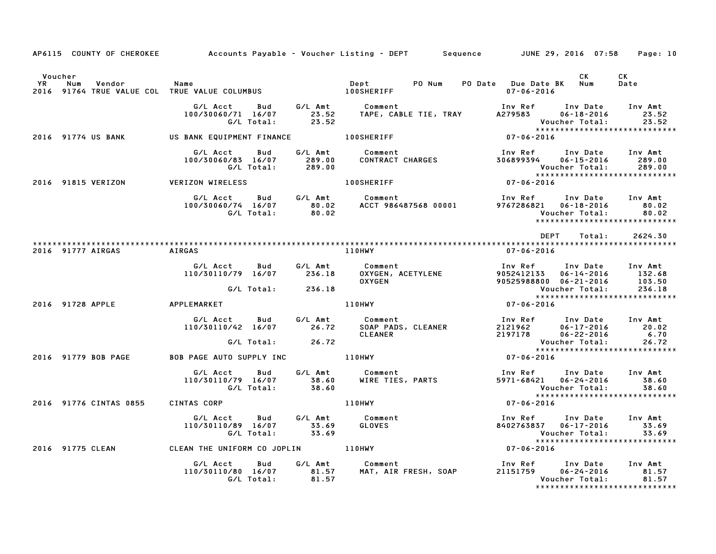|                      |                        |                                                                                     |                | AP6115 COUNTY OF CHEROKEE Accounts Payable - Voucher Listing - DEPT Sequence JUNE 29, 2016 07:58 Page: 10                     |                                                                                                                                   |                                      |
|----------------------|------------------------|-------------------------------------------------------------------------------------|----------------|-------------------------------------------------------------------------------------------------------------------------------|-----------------------------------------------------------------------------------------------------------------------------------|--------------------------------------|
| Voucher<br><b>YR</b> | Num<br>Vendor          | Name<br>2016 91764 TRUE VALUE COL TRUE VALUE COLUMBUS TRUE RESERVED TO A 100SHERIFF |                | Dept<br>PO Num                                                                                                                | CK .<br>PO Date Due Date BK Num<br>$07 - 06 - 2016$                                                                               | CK<br>Date                           |
|                      |                        | G/L Acct<br>100/30060/71 16/07<br>G/L Total:                                        | 23.52          | Bud G/L Amt Comment<br>16/07    23.52   TAPE, CABLE TIE, TRAY                                                                 | Inv Ref<br>A279583<br>$06 - 18 - 2016$<br>Voucher Total:<br>******************************                                        | Inv Date Inv Amt<br>23.52<br>23.52   |
|                      | 2016 91774 US BANK     | US BANK EQUIPMENT FINANCE 100SHERIFF                                                |                |                                                                                                                               | $07 - 06 - 2016$                                                                                                                  |                                      |
|                      |                        | G/L Acct<br>Bud<br>100/30060/83 16/07<br>G/L Total: 289.00                          | 289.00         |                                                                                                                               | Inv Ref      Inv Date<br>306899394<br>$06 - 15 - 2016$<br>Voucher Total:<br>*****************************                         | Inv Amt<br>289.00<br>289.00          |
|                      | 2016 91815 VERIZON     | <b>VERIZON WIRELESS</b>                                                             |                | <b>100SHERIFF</b>                                                                                                             | $07 - 06 - 2016$                                                                                                                  |                                      |
|                      |                        | G/L Acct Bud G/L Amt Comment                                                        |                | 100/30060/74 16/07 60.02 bomment<br>100/30060/74 16/07 80.02 ACCT 986487568 00001 9767286821 06-18-2016<br>• G/L Total: 80.02 | Inv Ref      Inv Date     Inv Amt<br>*****************************                                                                | 80.02<br>80.02                       |
|                      |                        |                                                                                     |                |                                                                                                                               | <b>DEPT</b><br>Total:                                                                                                             | 2624.30                              |
|                      | 2016 91777 AIRGAS      | <b>AIRGAS</b>                                                                       |                | 110HWY                                                                                                                        | 07-06-2016                                                                                                                        |                                      |
|                      |                        | G/L Acct<br>Bud<br>110/30110/79 16/07 236.18                                        | G/L Amt        | Comment<br>OXYGEN, ACETYLENE<br><b>OXYGEN</b>                                                                                 | Inv Ref<br>9052412133 06-14-2016<br>90525988800 06-21-2016                                                                        | Inv Date Inv Amt<br>132.68<br>103.50 |
|                      |                        | G/L Total: 236.18                                                                   |                |                                                                                                                               | Voucher Total:<br>*****************************                                                                                   | 236.18                               |
|                      |                        | 2016 91728 APPLE APPLEMARKET                                                        |                | $07 - 06 - 2016$<br>110HWY                                                                                                    |                                                                                                                                   |                                      |
|                      |                        | G/L Acct Bud G/L Amt                                                                |                | Comment<br>110/30110/42 16/07 26.72 SOAP PADS, CLEANER<br>CLEANER                                                             | Inv Ref Inv Date Inv Amt<br>2121962<br>2197178<br>06-17-2016<br>$06 - 22 - 2016$                                                  | 20.02<br>6.70                        |
|                      |                        | G/L Total: 26.72                                                                    |                |                                                                                                                               |                                                                                                                                   |                                      |
|                      | 2016 91779 BOB PAGE    | BOB PAGE AUTO SUPPLY INC <b>110HWY</b>                                              |                |                                                                                                                               | $07 - 06 - 2016$                                                                                                                  |                                      |
|                      |                        | G/L Acct<br>Bud<br>110/30110/79 16/07<br>G/L Total:                                 | 38.60<br>38.60 | G/L Amt         Comment<br>38.60       WIRE TIES, PARTS                                                                       | Inv Ref<br>5971-68421 06-24-2016<br>Voucher Total:                                                                                | Inv Date Inv Amt<br>38.60<br>38.60   |
|                      | 2016 91776 CINTAS 0855 | CINTAS CORP                                                                         |                | <b>110HWY</b>                                                                                                                 | *****************************<br>$07 - 06 - 2016$                                                                                 |                                      |
|                      |                        | G/L Acct<br>Bud<br>110/30110/89 16/07<br>G/L Total: 33.69                           | 33.69          | G/L Amt Comment<br>33.69 GLOVES                                                                                               | Inv Ref<br>Inv Date<br>8402763837  06-17-2016<br><b>Voucher Total:</b><br>*****************************                           | Inv Amt<br>33.69<br>33.69            |
|                      | 2016 91775 CLEAN       |                                                                                     |                | CLEAN THE UNIFORM CO JOPLIN 110HWY                                                                                            | $07 - 06 - 2016$                                                                                                                  |                                      |
|                      |                        | G/L Acct Bud<br>110/30110/80 16/07 81.57<br>G/L Total: 81.57                        | G/L Amt        | Comment<br>MAT, AIR FRESH, SOAP                                                                                               | Inv Ref       Inv Date     Inv Amt<br>21151759       06-24-2016         81.57<br>Voucher Total:<br>****************************** | 81.57<br>81.57                       |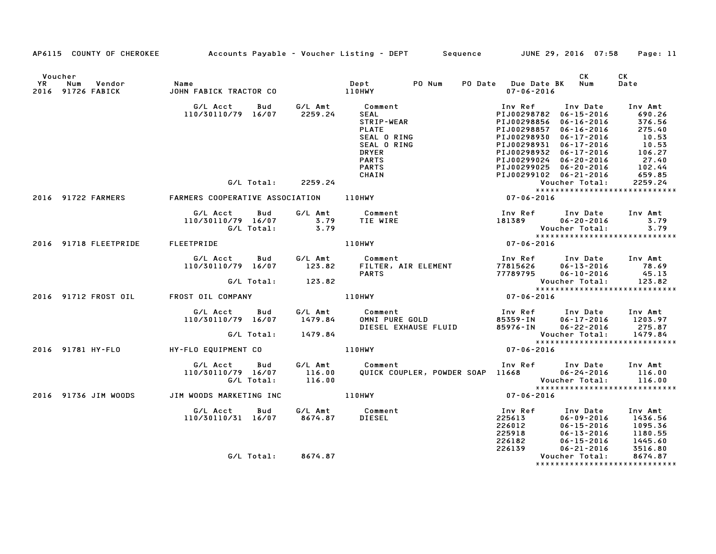|                      |                    |                                  | AP6115 COUNTY OF CHEROKEE Accounts Payable – Voucher Listing – DEPT Sequence JUNE 29, 2016 07:58                                                                                                                                        |                                                                                                                               |                                                                                      | Page: 11   |
|----------------------|--------------------|----------------------------------|-----------------------------------------------------------------------------------------------------------------------------------------------------------------------------------------------------------------------------------------|-------------------------------------------------------------------------------------------------------------------------------|--------------------------------------------------------------------------------------|------------|
| Voucher<br><b>YR</b> | 2016 91726 FABICK  |                                  |                                                                                                                                                                                                                                         | PO Date Due Date BK Num<br>07-06-2016                                                                                         | <b>CK</b>                                                                            | CK<br>Date |
|                      |                    |                                  | 6/L Acct Bud 6/L Amt Comment Inv Amt (110/30110/79 16/07 2259.24 SEAL O RING PIJ00298356 06-16-2016 690.26<br>SEAL O RING PIJ00298856 06-16-2016 276.56<br>PLATE PLATE PUBLE PRINC PID0298857 06-16-2016 276.56<br>SEAL O RING PIJ00    | Inv Ref                                                                                                                       | Inv Date Inv Amt                                                                     |            |
|                      |                    |                                  |                                                                                                                                                                                                                                         |                                                                                                                               |                                                                                      |            |
|                      | 2016 91722 FARMERS |                                  |                                                                                                                                                                                                                                         |                                                                                                                               |                                                                                      |            |
|                      |                    |                                  | Inv Ref Inv Date Inv Amt<br>181389 06-20-2016 3.79<br>Voucher Total: 3.79<br>*********************************                                                                                                                          |                                                                                                                               |                                                                                      |            |
|                      |                    | 2016 91718 FLEETPRIDE FLEETPRIDE | 110HWY                                                                                                                                                                                                                                  |                                                                                                                               |                                                                                      |            |
|                      |                    |                                  | 6/L Acct Bud G/L Amt Comment Inv Ref Inv Date Inv Amt<br>110/30110/79 16/07 123.82 FILTER, AIR ELEMENT 77815626 06-13-2016 78.69<br>6/L Total: 123.82 PARTS 77789795 06-10-2016 45.13<br>2016 91712 FROST OIL FROST OIL COMPANY 110HWY  |                                                                                                                               |                                                                                      |            |
|                      |                    |                                  |                                                                                                                                                                                                                                         |                                                                                                                               |                                                                                      |            |
|                      |                    |                                  |                                                                                                                                                                                                                                         |                                                                                                                               |                                                                                      |            |
|                      |                    |                                  | G/L Acct Bud G/L Amt Comment Inv Ref Inv Date Inv Amt<br>110/30110/79 16/07 1479.84 OMNI PURE GOLD 85359–IN 06–17–2016 1203.97<br>G/L Total: 1479.84 DIESEL EXHAUSE FLUID 85976–IN 06–22–2016 275.87<br>G/L Total: 1479.84 Voucher Tota |                                                                                                                               |                                                                                      |            |
|                      |                    |                                  |                                                                                                                                                                                                                                         |                                                                                                                               |                                                                                      |            |
|                      |                    |                                  | 2016 91781 HY-FLO NY-FLO EQUIPMENT CO 110HWY                                                                                                                                                                                            | $07 - 06 - 2016$                                                                                                              |                                                                                      |            |
|                      |                    |                                  | G/L Acct Bud G/L Amt Comment Inv Ref Inv Date Inv Amt<br>110/30110/79 16/07 116.00 QUICK COUPLER, POWDER SOAP 11668 06–24–2016 116.00<br>G/L Total: 116.00 QUICK COUPLER, POWDER SOAP 11668 Voucher Total: 116.00<br>****************** |                                                                                                                               |                                                                                      |            |
|                      |                    |                                  | 2016 91736 JIM WOODS 3 JIM WOODS MARKETING INC 310 110HWY 307-06-2016                                                                                                                                                                   |                                                                                                                               |                                                                                      |            |
|                      |                    |                                  |                                                                                                                                                                                                                                         | Inv Ref      Inv Date    Inv Amt<br>225613         06-09-2016      1436.56<br>1nv кет<br>225612<br>225918<br>226182<br>226139 | 06-15-2016 1095.36<br>06-13-2016 1180.55<br>06-15-2016 1445.60<br>06-21-2016 3516.80 |            |
|                      |                    | G/L Total: 8674.87               |                                                                                                                                                                                                                                         |                                                                                                                               | Voucher Total:                                                                       | 8674.87    |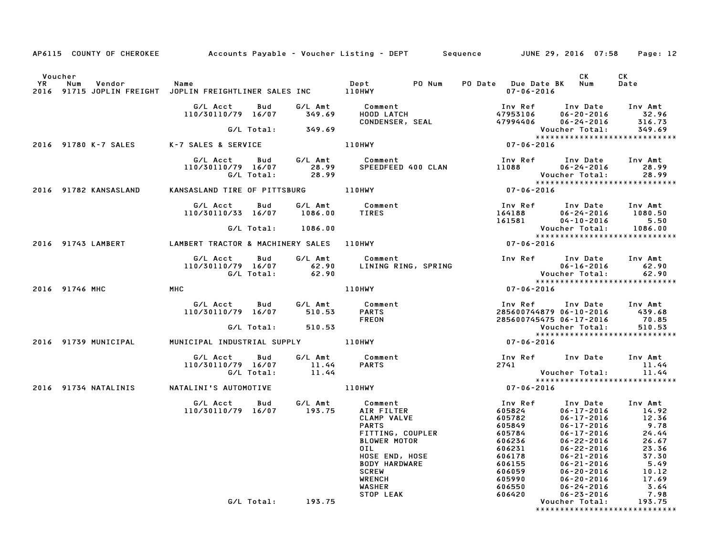| AP6115 COUNTY OF CHEROKEE Accounts Payable - Voucher Listing - DEPT Sequence JUNE 29, 2016 07:58 Page: 12                                      |                                                     |                               |                                                                                                                                                                                   |                                                                                                             |                                                                                                                                                                                                                                                                                                         |
|------------------------------------------------------------------------------------------------------------------------------------------------|-----------------------------------------------------|-------------------------------|-----------------------------------------------------------------------------------------------------------------------------------------------------------------------------------|-------------------------------------------------------------------------------------------------------------|---------------------------------------------------------------------------------------------------------------------------------------------------------------------------------------------------------------------------------------------------------------------------------------------------------|
| Voucher<br><b>YR</b><br>Num<br>Vendor<br><b>Subset of Service State</b> Name<br>2016 91715 JOPLIN FREIGHT JOPLIN FREIGHTLINER SALES INC 110HWY |                                                     |                               | Dept PO Num                                                                                                                                                                       | PO Date Due Date BK Num<br>07-06-2016                                                                       | CK<br>CK.<br>Date                                                                                                                                                                                                                                                                                       |
|                                                                                                                                                | G/L Acct<br>Bud<br>110/30110/79 16/07               | G/L Amt<br>349.69             | Comment<br>HOOD LATCH<br>CONDENSER, SEAL                                                                                                                                          | Inv Ref      Inv Date<br>47953106<br>47994406                                                               | Inv Amt<br>$06 - 20 - 2016$<br>32.96<br>316.73<br>$06 - 24 - 2016$                                                                                                                                                                                                                                      |
|                                                                                                                                                | G/L Total:                                          | 349.69                        |                                                                                                                                                                                   |                                                                                                             | Voucher Total:<br>349.69                                                                                                                                                                                                                                                                                |
| 2016 91780 K-7 SALES                                                                                                                           | K-7 SALES & SERVICE                                 |                               | 110HWY                                                                                                                                                                            | $07 - 06 - 2016$                                                                                            |                                                                                                                                                                                                                                                                                                         |
|                                                                                                                                                | G/L Acct Bud<br>110/30110/79 16/07<br>G/L Total:    | 28.99<br>28.99                | G/L Amt Comment<br>SPEEDFEED 400 CLAN                                                                                                                                             | Inv Ref      Inv Date<br>11088 06-24-2016                                                                   | Inv Amt<br>28.99<br>28.99<br>Voucher Total:                                                                                                                                                                                                                                                             |
| 2016 91782 KANSASLAND                                                                                                                          | KANSASLAND TIRE OF PITTSBURG 110HWY                 |                               |                                                                                                                                                                                   | $07 - 06 - 2016$                                                                                            |                                                                                                                                                                                                                                                                                                         |
|                                                                                                                                                | G/L Acct<br>Bud<br>110/30110/33 16/07<br>G/L Total: | G/L Amt<br>1086.00<br>1086.00 | Comment<br>TIRES                                                                                                                                                                  | Inv Ref      Inv Date<br>164188<br>161581                                                                   | Inv Amt<br>1080.50<br>$06 - 24 - 2016$<br>$04 - 10 - 2016$<br>5.50<br>Voucher Total:<br>1086.00                                                                                                                                                                                                         |
|                                                                                                                                                |                                                     |                               |                                                                                                                                                                                   |                                                                                                             | *****************************                                                                                                                                                                                                                                                                           |
| 2016 91743 LAMBERT                                                                                                                             | LAMBERT TRACTOR & MACHINERY SALES 110HWY            |                               |                                                                                                                                                                                   | $07 - 06 - 2016$                                                                                            |                                                                                                                                                                                                                                                                                                         |
|                                                                                                                                                | G/L Acct<br>Bud<br>110/30110/79 16/07<br>G/L Total: | G/L Amt<br>62.90<br>62.90     | Comment<br>LINING RING, SPRING                                                                                                                                                    | Inv Ref Inv Date<br>Voucher Total:                                                                          | Inv Amt<br>$06 - 16 - 2016$<br>62.90<br>62.90<br>*****************************                                                                                                                                                                                                                          |
| 2016 91746 MHC                                                                                                                                 | MHC                                                 |                               | 110HWY                                                                                                                                                                            | $07 - 06 - 2016$                                                                                            |                                                                                                                                                                                                                                                                                                         |
|                                                                                                                                                | G/L Acct<br>Bud<br>110/30110/79 16/07<br>G/L Total: | G/L Amt<br>510.53<br>510.53   | Comment<br><b>PARTS</b><br><b>FREON</b>                                                                                                                                           | Inv Ref<br>285600745475 06-17-2016                                                                          | Inv Date Inv Amt<br>285600744879 06-10-2016 439.68<br>70.85<br>510.53<br>Voucher Total:                                                                                                                                                                                                                 |
|                                                                                                                                                |                                                     |                               |                                                                                                                                                                                   |                                                                                                             | *****************************                                                                                                                                                                                                                                                                           |
| 2016 91739 MUNICIPAL                                                                                                                           | MUNICIPAL INDUSTRIAL SUPPLY 110HWY                  |                               |                                                                                                                                                                                   | 07-06-2016                                                                                                  |                                                                                                                                                                                                                                                                                                         |
|                                                                                                                                                | G/L Acct<br>Bud<br>110/30110/79 16/07<br>G/L Total: | G/L Amt<br>11.44<br>11.44     | Comment<br><b>PARTS</b>                                                                                                                                                           | Inv Ref      Inv Date<br>2741                                                                               | Inv Amt<br>11.44<br>Voucher Total:<br>11.44                                                                                                                                                                                                                                                             |
|                                                                                                                                                |                                                     |                               |                                                                                                                                                                                   |                                                                                                             | *****************************                                                                                                                                                                                                                                                                           |
| 2016 91734 NATALINIS                                                                                                                           | NATALINI'S AUTOMOTIVE                               |                               | 110HWY                                                                                                                                                                            | 07-06-2016                                                                                                  |                                                                                                                                                                                                                                                                                                         |
|                                                                                                                                                | G/L Acct<br>Bud<br>110/30110/79 16/07               | G/L Amt<br>193.75             | Comment<br>AIR FILTER<br>CLAMP VALVE<br><b>PARTS</b><br>FITTING, COUPLER<br><b>BLOWER MOTOR</b><br>0IL<br>HOSE END, HOSE<br><b>BODY HARDWARE</b><br><b>SCREW</b><br><b>WRENCH</b> | Inv Ref<br>605824<br>605782<br>605849<br>605784<br>606236<br>606231<br>606178<br>606155<br>606059<br>605990 | Inv Date<br>Inv Amt<br>$06 - 17 - 2016$<br>14.92<br>12.36<br>$06 - 17 - 2016$<br>$06 - 17 - 2016$<br>9.78<br>$06 - 17 - 2016$<br>24.44<br>06-22-2016<br>26.67<br>23.36<br>$06 - 22 - 2016$<br>37.30<br>$06 - 21 - 2016$<br>5.49<br>$06 - 21 - 2016$<br>06-20-2016<br>10.12<br>$06 - 20 - 2016$<br>17.69 |
|                                                                                                                                                |                                                     |                               | <b>WASHER</b><br>STOP LEAK                                                                                                                                                        | 606550<br>606420                                                                                            | $06 - 24 - 2016$<br>3.64<br>7.98<br>$06 - 23 - 2016$                                                                                                                                                                                                                                                    |
|                                                                                                                                                | G/L Total:                                          | 193.75                        |                                                                                                                                                                                   |                                                                                                             | Voucher Total:<br>193.75<br>*****************************                                                                                                                                                                                                                                               |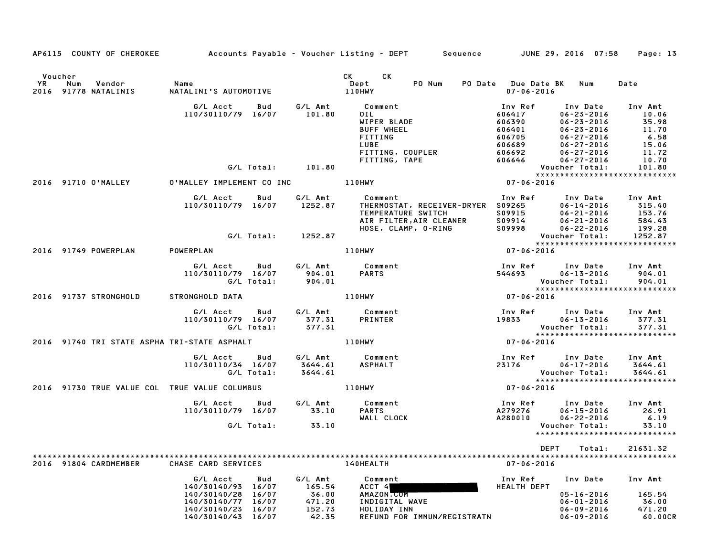|               |     |                                |                                                                                                                  |                   |                                                         | AP6115 COUNTY OF CHEROKEE Accounts Payable - Voucher Listing - DEPT Sequence JUNE 29, 2016 07:58                                                                                                                                                                 |                                                                     |                                                                                                                                  | Page: 13                                                        |
|---------------|-----|--------------------------------|------------------------------------------------------------------------------------------------------------------|-------------------|---------------------------------------------------------|------------------------------------------------------------------------------------------------------------------------------------------------------------------------------------------------------------------------------------------------------------------|---------------------------------------------------------------------|----------------------------------------------------------------------------------------------------------------------------------|-----------------------------------------------------------------|
| Voucher<br>YR | Num | Vendor<br>2016 91778 NATALINIS | Name<br>NATALINI'S AUTOMOTIVE                                                                                    |                   |                                                         | CK<br>CK the control of the control of the control of the control of the control of the control of the control of the control of the control of the control of the control of the control of the control of the control of the contr<br>Dept<br>PO Num<br>110HWY | PO Date Due Date BK<br>$07 - 06 - 2016$                             | Num                                                                                                                              | Date                                                            |
|               |     |                                | G/L Acct<br>110/30110/79 16/07                                                                                   | Bud               | G/L Amt<br>101.80                                       | Comment<br>OIL DO<br>WIPER BLADE<br><b>BUFF WHEEL</b><br><b>FITTING</b><br>LUBE<br>FITTING, COUPLER                                                                                                                                                              | Inv Ref<br>606417<br>606390<br>606401<br>606705<br>606689<br>606692 | Inv Date<br>$06 - 23 - 2016$<br>$06 - 23 - 2016$<br>$06 - 23 - 2016$<br>$06 - 27 - 2016$<br>$06 - 27 - 2016$<br>$06 - 27 - 2016$ | Inv Amt<br>10.06<br>35.98<br>11.70<br>6.58<br>15.06<br>11.72    |
|               |     |                                |                                                                                                                  | G/L Total:        | 101.80                                                  | FITTING, TAPE                                                                                                                                                                                                                                                    | 606646                                                              | $06 - 27 - 2016$<br>Voucher Total:                                                                                               | 10.70<br>101.80                                                 |
|               |     | 2016 91710 O'MALLEY            | O'MALLEY IMPLEMENT CO INC                                                                                        |                   |                                                         | 110HWY                                                                                                                                                                                                                                                           | 07-06-2016                                                          |                                                                                                                                  | ******************************                                  |
|               |     |                                | G/L Acct<br>110/30110/79 16/07                                                                                   | Bud               | G/L Amt<br>1252.87                                      | Comment<br>THERMOSTAT, RECEIVER-DRYER S09265<br>TEMPERATURE SWITCH<br>AIR FILTER,AIR CLEANER<br>HOSE, CLAMP, O–RING                                                                                                                                              | Inv Ref<br>S09915<br>S09914<br>S09998                               | Inv Date<br>06-14-2016<br>$06 - 21 - 2016$<br>$06 - 21 - 2016$<br>$06 - 22 - 2016$                                               | Inv Amt<br>315.40<br>153.76<br>584.43<br>199.28                 |
|               |     |                                |                                                                                                                  |                   | G/L Total: 1252.87                                      |                                                                                                                                                                                                                                                                  |                                                                     | <b>Voucher Total:</b>                                                                                                            | 1252.87<br>*****************************                        |
|               |     | 2016 91749 POWERPLAN           | POWERPLAN                                                                                                        |                   |                                                         | <b>110HWY</b>                                                                                                                                                                                                                                                    | $07 - 06 - 2016$                                                    |                                                                                                                                  |                                                                 |
|               |     |                                | G/L Acct<br>110/30110/79 16/07                                                                                   | Bud<br>G/L Total: | G/L Amt<br>904.01<br>904.01                             | Comment<br><b>PARTS</b>                                                                                                                                                                                                                                          | Inv Ref<br>544693                                                   | Inv Date<br>$06 - 13 - 2016$<br>Voucher Total:                                                                                   | Inv Amt<br>904.01<br>904.01                                     |
|               |     | 2016 91737 STRONGHOLD          | STRONGHOLD DATA                                                                                                  |                   |                                                         | <b>110HWY</b>                                                                                                                                                                                                                                                    | $07 - 06 - 2016$                                                    |                                                                                                                                  | ******************************                                  |
|               |     |                                | G/L Acct<br>110/30110/79 16/07                                                                                   | Bud<br>G/L Total: | G/L Amt<br>377.31<br>377.31                             | Comment<br>PRINTER                                                                                                                                                                                                                                               | 19833   1983                                                        | Inv Ref      Inv Date<br>06-13-2016<br>Voucher Total:                                                                            | Inv Amt<br>377.31<br>377.31<br>*****************************    |
|               |     |                                | 2016 91740 TRI STATE ASPHA TRI-STATE ASPHALT                                                                     |                   |                                                         | 110HWY                                                                                                                                                                                                                                                           | 07-06-2016                                                          |                                                                                                                                  |                                                                 |
|               |     |                                | G/L Acct<br>110/30110/34 16/07                                                                                   | Bud<br>G/L Total: | G/L Amt<br>3644.61<br>3644.61                           | Comment<br><b>ASPHALT</b>                                                                                                                                                                                                                                        | Inv Ref<br>23176                                                    | Inv Date<br>$06 - 17 - 2016$<br>Voucher Total:                                                                                   | Inv Amt<br>3644.61<br>3644.61<br>****************************** |
|               |     |                                | 2016 91730 TRUE VALUE COL TRUE VALUE COLUMBUS                                                                    |                   |                                                         | <b>110HWY</b>                                                                                                                                                                                                                                                    | 07-06-2016                                                          |                                                                                                                                  |                                                                 |
|               |     |                                | G/L Acct<br>110/30110/79 16/07                                                                                   | Bud               | G/L Amt<br>33.10                                        | Comment<br><b>PARTS</b><br>WALL CLOCK                                                                                                                                                                                                                            | Inv Ref<br>A279276<br>A280010                                       | Inv Date<br>$06 - 15 - 2016$<br>$06 - 22 - 2016$                                                                                 | Inv Amt<br>26.91<br>6.19                                        |
|               |     |                                |                                                                                                                  | G/L Total:        | 33.10                                                   |                                                                                                                                                                                                                                                                  |                                                                     | Voucher Total:                                                                                                                   | 33.10<br>*****************************                          |
|               |     |                                |                                                                                                                  |                   |                                                         |                                                                                                                                                                                                                                                                  | DEPT                                                                | Total:                                                                                                                           | 21631.32                                                        |
|               |     | 2016 91804 CARDMEMBER          | CHASE CARD SERVICES                                                                                              |                   |                                                         | 140HEALTH                                                                                                                                                                                                                                                        | $07 - 06 - 2016$                                                    |                                                                                                                                  |                                                                 |
|               |     |                                | G/L Acct<br>140/30140/93 16/07<br>140/30140/28<br>140/30140/77 16/07<br>140/30140/23 16/07<br>140/30140/43 16/07 | Bud<br>16/07      | G/L Amt<br>165.54<br>36.00<br>471.20<br>152.73<br>42.35 | Comment<br>ACCT 4<br>AMAZON.COM<br>INDIGITAL WAVE<br>HOLIDAY INN<br>REFUND FOR IMMUN/REGISTRATN                                                                                                                                                                  | Inv Ref<br><b>HEALTH DEPT</b>                                       | Inv Date<br>$05 - 16 - 2016$<br>$06 - 01 - 2016$<br>$06 - 09 - 2016$<br>$06 - 09 - 2016$                                         | Inv Amt<br>165.54<br>36.00<br>471.20<br>60.00CR                 |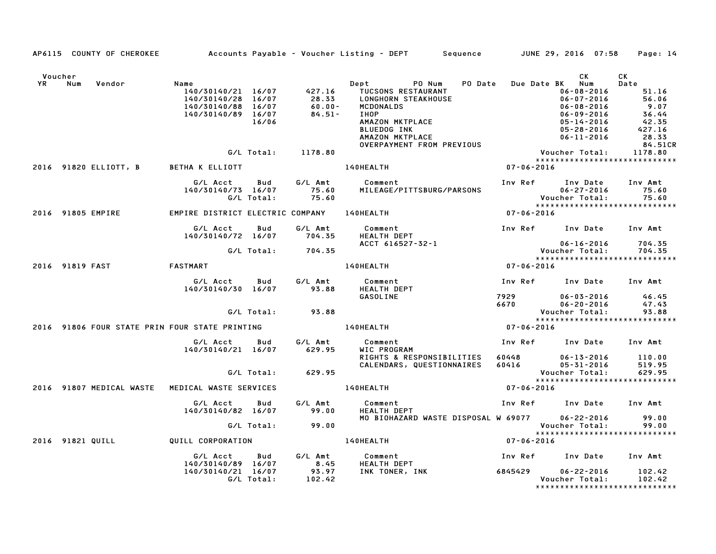|                                                |        |                                       |                                                                                              |            |                                    | AP6115 COUNTY OF CHEROKEE Accounts Payable - Voucher Listing - DEPT Sequence JUNE 29, 2016 07:58 Page: 14                                                    |                  |                                                                                                                                       |                                                                                 |  |
|------------------------------------------------|--------|---------------------------------------|----------------------------------------------------------------------------------------------|------------|------------------------------------|--------------------------------------------------------------------------------------------------------------------------------------------------------------|------------------|---------------------------------------------------------------------------------------------------------------------------------------|---------------------------------------------------------------------------------|--|
| Voucher                                        | YR Num | Vendor                                | Name<br>140/30140/21 16/07<br>140/30140/28 16/07<br>140/30140/88 16/07<br>140/30140/89 16/07 | 16/06      | $60.00 -$<br>$00.00 - 84.51 -$     | Dept PONum<br>427.16 TUCSONS RESTAURANT<br>28.33 LONGHORN STEAKHOUSE<br><b>MCDONALDS</b><br>IHOP<br>AMAZON MKTPLACE<br><b>BLUEDOG INK</b><br>AMAZON MKTPLACE |                  | CK<br>PO Date Due Date BK Num<br>06-08-2016<br>06-07-2016<br>06-08-2016<br>06-09-2016<br>05-14-2016<br>05-28-2016<br>$06 - 11 - 2016$ | CK<br>Date<br>51.16<br>56.06<br>9.07<br>$36.44$<br>$42.35$<br>$427.16$<br>28.33 |  |
|                                                |        |                                       |                                                                                              |            | G/L Total: 1178.80                 | OVERPAYMENT FROM PREVIOUS                                                                                                                                    |                  | Voucher Total: 1178.80                                                                                                                | 84.51CR                                                                         |  |
|                                                |        |                                       |                                                                                              |            |                                    |                                                                                                                                                              | $07 - 06 - 2016$ | *****************************                                                                                                         |                                                                                 |  |
|                                                |        | 2016 91820 ELLIOTT, B BETHA K ELLIOTT |                                                                                              |            |                                    | <b>140HEALTH</b>                                                                                                                                             |                  |                                                                                                                                       |                                                                                 |  |
|                                                |        |                                       | G/L Acct Bud G/L Amt<br>140/30140/73 16/07                                                   | G/L Total: | 75.60<br>75.60                     | Comment<br>MILEAGE/PITTSBURG/PARSONS                                                                                                                         |                  | Inv Ref Inv Date                                                                                                                      | Inv Amt                                                                         |  |
|                                                |        | 2016 91805 EMPIRE                     | EMPIRE DISTRICT ELECTRIC COMPANY 140HEALTH                                                   |            |                                    |                                                                                                                                                              | $07 - 06 - 2016$ |                                                                                                                                       |                                                                                 |  |
|                                                |        |                                       | G/L Acct<br>140/30140/72 16/07 704.35                                                        |            | Bud G/L Amt                        | Comment<br><b>HEALTH DEPT</b>                                                                                                                                |                  | Inv Ref Inv Date Inv Amt                                                                                                              |                                                                                 |  |
|                                                |        |                                       |                                                                                              |            | G/L Total: 704.35                  | ACCT 616527-32-1                                                                                                                                             |                  | 06-16-2016<br>Voucher Total:                                                                                                          | 704.35<br>704.35                                                                |  |
|                                                |        |                                       |                                                                                              |            |                                    |                                                                                                                                                              |                  |                                                                                                                                       |                                                                                 |  |
|                                                |        | 2016 91819 FAST FASTMART              |                                                                                              |            |                                    | <b>140HEALTH</b>                                                                                                                                             | $07 - 06 - 2016$ |                                                                                                                                       |                                                                                 |  |
|                                                |        |                                       | G/L Acct Bud<br>140/30140/30 16/07 93.88                                                     |            | G/L Amt                            | Comment<br>HEALTH DEPT<br>GASOLINE                                                                                                                           |                  | Inv Ref Inv Date Inv Amt<br>7929 06-03-2016                                                                                           | 46.45                                                                           |  |
|                                                |        |                                       |                                                                                              |            |                                    |                                                                                                                                                              |                  |                                                                                                                                       |                                                                                 |  |
|                                                |        |                                       | G/L Total: 93.88                                                                             |            |                                    |                                                                                                                                                              |                  |                                                                                                                                       |                                                                                 |  |
| 2016 91806 FOUR STATE PRIN FOUR STATE PRINTING |        |                                       |                                                                                              |            | 140HEALTH                          | $07 - 06 - 2016$                                                                                                                                             |                  |                                                                                                                                       |                                                                                 |  |
|                                                |        |                                       | G/L Acct Bud<br>140/30140/21 16/07 629.95                                                    |            | G⁄L Amt                            | Comment<br>WIC PROGRAM                                                                                                                                       |                  | Inv Ref Inv Date Inv Amt                                                                                                              |                                                                                 |  |
|                                                |        |                                       |                                                                                              |            |                                    |                                                                                                                                                              |                  |                                                                                                                                       |                                                                                 |  |
|                                                |        |                                       |                                                                                              |            | G/L Total: 629.95                  |                                                                                                                                                              |                  | Voucher Total:                                                                                                                        | 629.95                                                                          |  |
|                                                |        |                                       | 2016 91807 MEDICAL WASTE  MEDICAL WASTE SERVICES                                             |            |                                    | 140HEALTH                                                                                                                                                    | $07 - 06 - 2016$ |                                                                                                                                       |                                                                                 |  |
|                                                |        |                                       |                                                                                              |            |                                    |                                                                                                                                                              |                  |                                                                                                                                       |                                                                                 |  |
|                                                |        |                                       | G/L Acct Bud<br>140/30140/82 16/07 99.00                                                     |            | G/L Amt                            | Comment<br>HEALTH DEPT<br>MO BIOHAZARD WASTE DISPOSAL W 69077 06-22-2016                                                                                     |                  | Inv Ref      Inv Date     Inv Amt                                                                                                     | 99.00                                                                           |  |
|                                                |        |                                       |                                                                                              |            | G/L Total: 99.00                   |                                                                                                                                                              |                  | Voucher Total:                                                                                                                        | 99.00                                                                           |  |
|                                                |        |                                       | 2016 91821 QUILL <b>QUILL CORPORATION</b>                                                    |            |                                    | <b>140HEALTH</b>                                                                                                                                             | $07 - 06 - 2016$ | *****************************                                                                                                         |                                                                                 |  |
|                                                |        |                                       | G/L Acct<br>140/30140/89 16/07                                                               | <b>Bud</b> | G/L Amt<br>8.45<br>93.97<br>102.42 | Comment<br><b>HEALTH DEPT</b>                                                                                                                                |                  |                                                                                                                                       |                                                                                 |  |
|                                                |        |                                       |                                                                                              |            |                                    |                                                                                                                                                              |                  | Inv Ref      Inv Date     Inv Amt                                                                                                     |                                                                                 |  |
|                                                |        |                                       | 140/30140/21 16/07                                                                           |            |                                    | INK TONER, INK 6845429                                                                                                                                       |                  | 06-22-2016                                                                                                                            | 102.42                                                                          |  |
|                                                |        |                                       | G/L Total:                                                                                   |            |                                    |                                                                                                                                                              |                  | Voucher Total:<br>*****************************                                                                                       | 102.42                                                                          |  |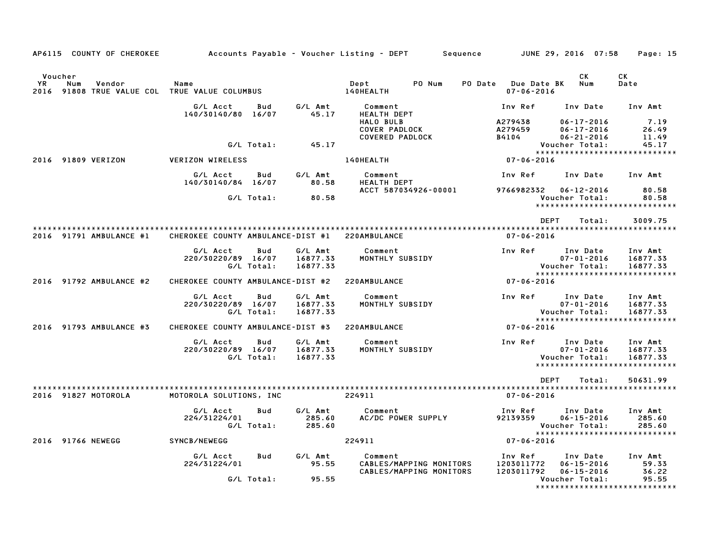| AP6115 COUNTY OF CHEROKEE                                                        |                                   |                            |                                 | Accounts Payable – Voucher Listing – DEPT<br>Sequence                                        |                                                          | JUNE 29, 2016 07:58                                                  | Page: 15                                                         |  |  |
|----------------------------------------------------------------------------------|-----------------------------------|----------------------------|---------------------------------|----------------------------------------------------------------------------------------------|----------------------------------------------------------|----------------------------------------------------------------------|------------------------------------------------------------------|--|--|
| Voucher<br>YR.<br>Num<br>Vendor<br>2016 91808 TRUE VALUE COL TRUE VALUE COLUMBUS | Name                              |                            |                                 | PO Num<br>Dept<br>140HEALTH                                                                  | <b>Due Date BK</b><br>PO Date<br>$07 - 06 - 2016$        | CK.<br>Num                                                           | CK<br>Date                                                       |  |  |
|                                                                                  | G/L Acct<br>140/30140/80          | Bud<br>16/07               | G/L Amt<br>45.17                | Comment<br><b>HEALTH DEPT</b><br>HALO BULB<br><b>COVER PADLOCK</b><br><b>COVERED PADLOCK</b> | Inv Ref<br>A279438<br>A279459<br>B4104                   | Inv Date<br>$06 - 17 - 2016$<br>$06 - 17 - 2016$<br>$06 - 21 - 2016$ | Inv Amt<br>7.19<br>26.49<br>11.49                                |  |  |
|                                                                                  |                                   | G/L Total:                 | 45.17                           |                                                                                              |                                                          | Voucher Total:                                                       | 45.17                                                            |  |  |
| 91809 VERIZON<br>2016                                                            | <b>VERIZON WIRELESS</b>           |                            |                                 | 140HEALTH                                                                                    | *****************************<br>07-06-2016              |                                                                      |                                                                  |  |  |
|                                                                                  | G/L Acct<br>140/30140/84 16/07    | Bud                        | G/L Amt<br>80.58                | Comment<br>HEALTH DEPT                                                                       | Inv Ref                                                  | Inv Date                                                             | Inv Amt                                                          |  |  |
|                                                                                  |                                   | G/L Total:                 | 80.58                           | ACCT 587034926-00001                                                                         | 9766982332                                               | $06 - 12 - 2016$<br>Voucher Total:                                   | 80.58<br>80.58                                                   |  |  |
|                                                                                  |                                   |                            |                                 |                                                                                              |                                                          |                                                                      | *****************************                                    |  |  |
|                                                                                  |                                   |                            |                                 |                                                                                              | <b>DEPT</b>                                              | Total:                                                               | 3009.75                                                          |  |  |
| 2016 91791 AMBULANCE #1                                                          | CHEROKEE COUNTY AMBULANCE-DIST #1 |                            |                                 | 220AMBULANCE                                                                                 | $07 - 06 - 2016$                                         |                                                                      |                                                                  |  |  |
|                                                                                  | G/L Acct<br>220/30220/89          | Bud<br>16/07<br>G/L Total: | G/L Amt<br>16877.33<br>16877.33 | Comment<br>MONTHLY SUBSIDY                                                                   | Inv Ref                                                  | Inv Date<br>$07 - 01 - 2016$<br>Voucher Total:                       | Inv Amt<br>16877.33<br>16877.33                                  |  |  |
| 2016 91792 AMBULANCE #2                                                          | CHEROKEE COUNTY AMBULANCE-DIST #2 |                            |                                 | 220AMBULANCE                                                                                 | $07 - 06 - 2016$                                         |                                                                      | *****************************                                    |  |  |
|                                                                                  | G/L Acct<br>220/30220/89 16/07    | Bud<br>G/L Total:          | G/L Amt<br>16877.33<br>16877.33 | Comment<br>MONTHLY SUBSIDY                                                                   | Inv Ref                                                  | Inv Date<br>$07 - 01 - 2016$<br>Voucher Total:                       | Inv Amt<br>16877.33<br>16877.33<br>***************************** |  |  |
| 2016 91793 AMBULANCE #3                                                          | CHEROKEE COUNTY AMBULANCE-DIST #3 |                            |                                 | 220AMBULANCE                                                                                 | $07 - 06 - 2016$                                         |                                                                      |                                                                  |  |  |
|                                                                                  | G/L Acct<br>220/30220/89 16/07    | Bud<br>G/L Total:          | G/L Amt<br>16877.33<br>16877.33 | Comment<br>MONTHLY SUBSIDY                                                                   | Inv Ref                                                  | Inv Date<br>$07 - 01 - 2016$<br>Voucher Total:                       | Inv Amt<br>16877.33<br>16877.33<br>***************************** |  |  |
|                                                                                  |                                   |                            |                                 |                                                                                              | <b>DEPT</b>                                              | Total:                                                               | 50631.99                                                         |  |  |
| 2016 91827 MOTOROLA                                                              | MOTOROLA SOLUTIONS, INC           |                            |                                 | 224911                                                                                       | $07 - 06 - 2016$                                         |                                                                      |                                                                  |  |  |
|                                                                                  | G/L Acct<br>224/31224/01          | Bud<br>G/L Total:          | G/L Amt<br>285.60<br>285.60     | Comment<br>AC/DC POWER SUPPLY                                                                | Inv Ref<br>92139359                                      | Inv Date<br>$06 - 15 - 2016$<br>Voucher Total:                       | Inv Amt<br>285.60<br>285.60<br>*****************************     |  |  |
| 2016 91766 NEWEGG                                                                | SYNCB/NEWEGG                      |                            |                                 | 224911                                                                                       | $07 - 06 - 2016$                                         |                                                                      |                                                                  |  |  |
|                                                                                  | G/L Acct<br>224/31224/01          | Bud                        | G/L Amt<br>95.55                | Comment<br>CABLES/MAPPING MONITORS<br>CABLES/MAPPING MONITORS                                | Inv Ref<br>1203011772<br>1203011792                      | Inv Date<br>$06 - 15 - 2016$<br>$06 - 15 - 2016$                     | Inv Amt<br>59.33<br>36.22                                        |  |  |
|                                                                                  |                                   | G/L Total:                 | 95.55                           |                                                                                              | Voucher Total:<br>95.55<br>***************************** |                                                                      |                                                                  |  |  |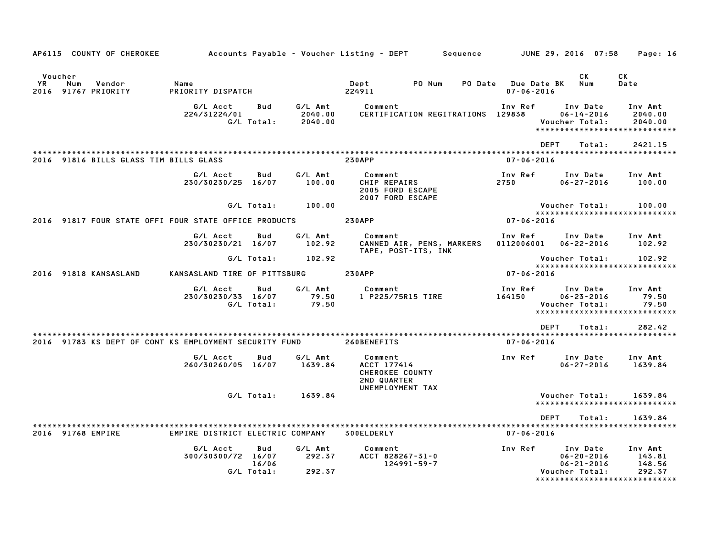|           |                   | AP6115 COUNTY OF CHEROKEE              |                                                        |                            |                               | Accounts Payable – Voucher Listing – DEPT                       |                                                  | Sequence |                       | JUNE 29, 2016 07:58                                                | Page: 16                                                               |
|-----------|-------------------|----------------------------------------|--------------------------------------------------------|----------------------------|-------------------------------|-----------------------------------------------------------------|--------------------------------------------------|----------|-----------------------|--------------------------------------------------------------------|------------------------------------------------------------------------|
| <b>YR</b> | Voucher<br>Num    | Vendor<br>2016 91767 PRIORITY          | Name<br>PRIORITY DISPATCH                              |                            |                               | Dept<br>224911                                                  | PO Num                                           | PO Date  | $07 - 06 - 2016$      | СK<br>Due Date BK<br>Num                                           | CK<br>Date                                                             |
|           |                   |                                        | G/L Acct<br>224/31224/01                               | Bud<br>G/L Total:          | G/L Amt<br>2040.00<br>2040.00 | Comment                                                         | CERTIFICATION REGITRATIONS 129838                |          | Inv Ref               | Inv Date<br>$06 - 14 - 2016$<br>Voucher Total:                     | Inv Amt<br>2040.00<br>2040.00<br>*****************************         |
|           |                   |                                        |                                                        |                            |                               |                                                                 |                                                  |          |                       | <b>DEPT</b><br>Total:                                              | 2421.15                                                                |
|           |                   | 2016 91816 BILLS GLASS TIM BILLS GLASS |                                                        |                            |                               | <b>230APP</b>                                                   |                                                  |          | $07 - 06 - 2016$      |                                                                    |                                                                        |
|           |                   |                                        | G/L Acct<br>230/30230/25 16/07                         | Bud                        | G/L Amt<br>100.00             | Comment<br>CHIP REPAIRS<br>2005 FORD ESCAPE<br>2007 FORD ESCAPE |                                                  |          | Inv Ref<br>2750       | Inv Date<br>$06 - 27 - 2016$                                       | Inv Amt<br>100.00                                                      |
|           |                   |                                        |                                                        | G/L Total:                 | 100.00                        |                                                                 |                                                  |          |                       | Voucher Total:                                                     | 100.00                                                                 |
|           |                   |                                        | 2016 91817 FOUR STATE OFFI FOUR STATE OFFICE PRODUCTS  |                            |                               | <b>230APP</b>                                                   |                                                  |          | $07 - 06 - 2016$      |                                                                    | *****************************                                          |
|           |                   |                                        | G/L Acct<br>230/30230/21 16/07                         | Bud                        | G/L Amt<br>102.92             | Comment                                                         | CANNED AIR, PENS, MARKERS<br>TAPE, POST-ITS, INK |          | Inv Ref<br>0112006001 | Inv Date<br>$06 - 22 - 2016$                                       | Inv Amt<br>102.92                                                      |
|           |                   |                                        |                                                        | G/L Total:                 | 102.92                        |                                                                 |                                                  |          |                       | Voucher Total:                                                     | 102.92                                                                 |
|           |                   | 2016 91818 KANSASLAND                  | KANSASLAND TIRE OF PITTSBURG                           |                            |                               | <b>230APP</b>                                                   |                                                  |          | $07 - 06 - 2016$      |                                                                    | ******************************                                         |
|           |                   |                                        | G/L Acct<br>230/30230/33 16/07                         | Bud<br>G/L Total:          | G/L Amt<br>79.50<br>79.50     | Comment<br>1 P225/75R15 TIRE                                    |                                                  |          | Inv Ref<br>164150     | Inv Date<br>$06 - 23 - 2016$<br>Voucher Total:                     | Inv Amt<br>79.50<br>79.50<br>******************************            |
|           |                   |                                        |                                                        |                            |                               |                                                                 |                                                  |          |                       | <b>DEPT</b><br>Total:                                              | 282.42                                                                 |
|           |                   |                                        | 2016 91783 KS DEPT OF CONT KS EMPLOYMENT SECURITY FUND |                            |                               | 260BENEFITS                                                     |                                                  |          | $07 - 06 - 2016$      |                                                                    |                                                                        |
|           |                   |                                        | G/L Acct<br>260/30260/05 16/07                         | Bud                        | G/L Amt<br>1639.84            | Comment<br>ACCT 177414<br>CHEROKEE COUNTY<br>2ND QUARTER        |                                                  |          | Inv Ref               | Inv Date<br>$06 - 27 - 2016$                                       | Inv Amt<br>1639.84                                                     |
|           |                   |                                        |                                                        | G/L Total:                 | 1639.84                       | UNEMPLOYMENT TAX                                                |                                                  |          |                       | Voucher Total:                                                     | 1639.84<br>*****************************                               |
|           |                   |                                        |                                                        |                            |                               |                                                                 |                                                  |          |                       | <b>DEPT</b><br>Total:                                              | 1639.84                                                                |
|           | 2016 91768 EMPIRE |                                        | EMPIRE DISTRICT ELECTRIC COMPANY                       |                            |                               | 300ELDERLY                                                      |                                                  |          | $07 - 06 - 2016$      |                                                                    |                                                                        |
|           |                   |                                        | G/L Acct<br>300/30300/72 16/07                         | Bud<br>16/06<br>G/L Total: | G/L Amt<br>292.37<br>292.37   | Comment<br>ACCT 828267-31-0                                     | $124991 - 59 - 7$                                |          | Inv Ref               | Inv Date<br>$06 - 20 - 2016$<br>$06 - 21 - 2016$<br>Voucher Total: | Inv Amt<br>143.81<br>148.56<br>292.37<br>***************************** |